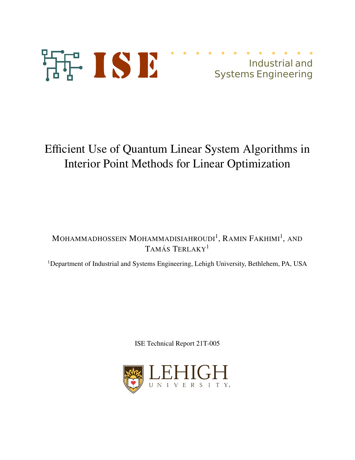

# Efficient Use of Quantum Linear System Algorithms in Interior Point Methods for Linear Optimization

Mohammadhossein Mohammadisiahroudi<sup>1</sup>, Ramin Fakhimi<sup>1</sup>, and TAMÁS TERLAKY<sup>1</sup>

<sup>1</sup>Department of Industrial and Systems Engineering, Lehigh University, Bethlehem, PA, USA

ISE Technical Report 21T-005

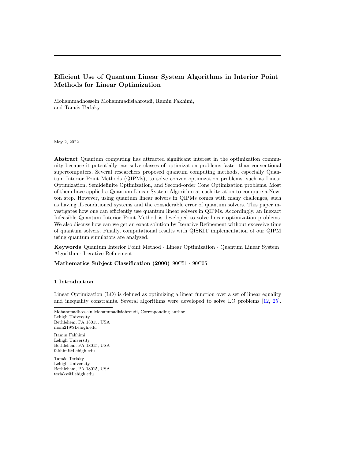# Efficient Use of Quantum Linear System Algorithms in Interior Point Methods for Linear Optimization

Mohammadhossein Mohammadisiahroudi, Ramin Fakhimi, and Tam´as Terlaky

May 2, 2022

Abstract Quantum computing has attracted significant interest in the optimization community because it potentially can solve classes of optimization problems faster than conventional supercomputers. Several researchers proposed quantum computing methods, especially Quantum Interior Point Methods (QIPMs), to solve convex optimization problems, such as Linear Optimization, Semidefinite Optimization, and Second-order Cone Optimization problems. Most of them have applied a Quantum Linear System Algorithm at each iteration to compute a Newton step. However, using quantum linear solvers in QIPMs comes with many challenges, such as having ill-conditioned systems and the considerable error of quantum solvers. This paper investigates how one can efficiently use quantum linear solvers in QIPMs. Accordingly, an Inexact Infeasible Quantum Interior Point Method is developed to solve linear optimization problems. We also discuss how can we get an exact solution by Iterative Refinement without excessive time of quantum solvers. Finally, computational results with QISKIT implementation of our QIPM using quantum simulators are analyzed.

Keywords Quantum Interior Point Method · Linear Optimization · Quantum Linear System Algorithm · Iterative Refinement

Mathematics Subject Classification (2000) 90C51 · 90C05

# 1 Introduction

Linear Optimization (LO) is defined as optimizing a linear function over a set of linear equality and inequality constraints. Several algorithms were developed to solve LO problems [12, 25].

Mohammadhossein Mohammadisiahroudi, Corresponding author Lehigh University Bethlehem, PA 18015, USA mom219@Lehigh.edu

Ramin Fakhimi Lehigh University Bethlehem, PA 18015, USA fakhimi@Lehigh.edu

Tamás Terlaky Lehigh University Bethlehem, PA 18015, USA terlaky@Lehigh.edu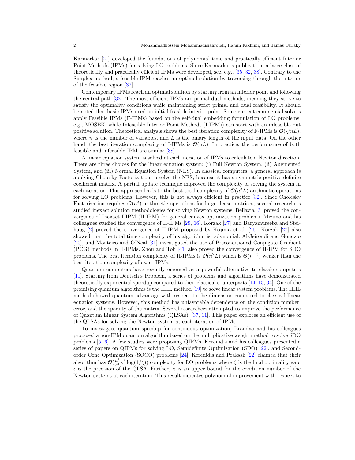Karmarkar [21] developed the foundations of polynomial time and practically efficient Interior Point Methods (IPMs) for solving LO problems. Since Karmarkar's publication, a large class of theoretically and practically efficient IPMs were developed, see, e.g., [35, 32, 38]. Contrary to the Simplex method, a feasible IPM reaches an optimal solution by traversing through the interior of the feasible region [32].

Contemporary IPMs reach an optimal solution by starting from an interior point and following the central path [32]. The most efficient IPMs are primal-dual methods, meaning they strive to satisfy the optimality conditions while maintaining strict primal and dual feasibility. It should be noted that basic IPMs need an initial feasible interior point. Some current commercial solvers apply Feasible IPMs (F-IPMs) based on the self-dual embedding formulation of LO problems, e.g., MOSEK, while Infeasible Interior Point Methods (I-IPMs) can start with an infeasible but positive solution. Theoretical analysis shows the best iteration complexity of F-IPMs is  $\mathcal{O}(\sqrt{n}L)$ , where  $n$  is the number of variables, and  $L$  is the binary length of the input data. On the other hand, the best iteration complexity of I-IPMs is  $\mathcal{O}(nL)$ . In practice, the performance of both feasible and infeasible IPM are similar [38].

A linear equation system is solved at each iteration of IPMs to calculate a Newton direction. There are three choices for the linear equation system: (i) Full Newton System, (ii) Augmented System, and (iii) Normal Equation System (NES). In classical computers, a general approach is applying Cholesky Factorization to solve the NES, because it has a symmetric positive definite coefficient matrix. A partial update technique improved the complexity of solving the system in each iteration. This approach leads to the best total complexity of  $\mathcal{O}(n^3L)$  arithmetic operations for solving LO problems. However, this is not always efficient in practice [32]. Since Cholesky Factorization requires  $\mathcal{O}(n^3)$  arithmetic operations for large dense matrices, several researchers studied inexact solution methodologies for solving Newton systems. Bellavia [3] proved the convergence of Inexact I-IPM (II-IPM) for general convex optimization problems. Mizuno and his colleagues studied the convergence of II-IPMs [29, 16]. Korzak [27] and Baryamureeba and Steihaug [2] proved the convergence of II-IPM proposed by Kojima et al. [26]. Korzak [27] also showed that the total time complexity of his algorithm is polynomial. Al-Jeiroudi and Gondzio [20], and Monteiro and O'Neal [31] investigated the use of Preconditioned Conjugate Gradient (PCG) methods in II-IPMs. Zhou and Toh [41] also proved the convergence of II-IPM for SDO problems. The best iteration complexity of II-IPMs is  $\mathcal{O}(n^2L)$  which is  $\Theta(n^{1.5})$  weaker than the best iteration complexity of exact IPMs.

Quantum computers have recently emerged as a powerful alternative to classic computers [11]. Starting from Deutsch's Problem, a series of problems and algorithms have demonstrated theoretically exponential speedup compared to their classical counterparts [14, 15, 34]. One of the promising quantum algorithms is the HHL method [19] to solve linear system problems. The HHL method showed quantum advantage with respect to the dimension compared to classical linear equation systems. However, this method has unfavorable dependence on the condition number, error, and the sparsity of the matrix. Several researchers attempted to improve the performance of Quantum Linear System Algorithms (QLSAs), [37, 11]. This paper explores an efficient use of the QLSAs for solving the Newton system at each iteration of IPMs.

To investigate quantum speedup for continuous optimization, Brand˜ao and his colleagues proposed a non-IPM quantum algorithm based on the multiplicative weight method to solve SDO problems [5, 6]. A few studies were proposing QIPMs. Kerenidis and his colleagues presented a series of papers on QIPMs for solving LO, Semidefinite Optimization (SDO) [22], and Secondorder Cone Optimization (SOCO) problems [24]. Kerenidis and Prakash [22] claimed that their algorithm has  $\mathcal{O}\left(\frac{n^2}{\epsilon^2}\right)$  $\frac{n^2}{\epsilon^2} \kappa^3 \log(1/\zeta)$  complexity for LO problems where  $\zeta$  is the final optimality gap,  $\epsilon$  is the precision of the QLSA. Further,  $\kappa$  is an upper bound for the condition number of the Newton systems at each iteration. This result indicates polynomial improvement with respect to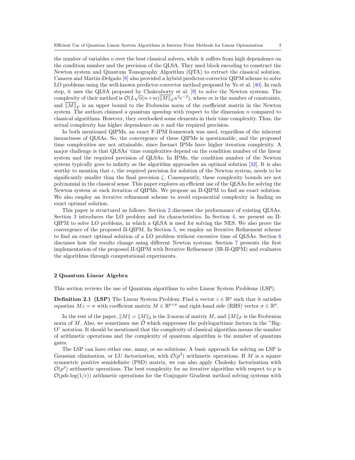the number of variables n over the best classical solvers, while it suffers from high dependence on the condition number and the precision of the QLSA. They used block encoding to construct the Newton system and Quantum Tomography Algorithm (QTA) to extract the classical solution. Casares and Martin-Delgado [8] also provided a hybrid predictor-corrector QIPM scheme to solve LO problems using the well-known predictor-corrector method proposed by Ye et al. [40]. In each step, it uses the QLSA proposed by Chakraborty et al. [9] to solve the Newton systems. The complexity of their method is  $\mathcal{O}(L\sqrt{n}(n+m)\overline{\|M\|}_{F}^{\omega}\kappa^{2}\epsilon^{-2})$ , where m is the number of constraints, and  $||M||_F$  is an upper bound to the Frobenius norm of the coefficient matrix in the Newton system. The authors claimed a quantum speedup with respect to the dimension  $n$  compared to classical algorithms. However, they overlooked some elements in their time complexity. Thus, the actual complexity has higher dependence on n and the required precision.

In both mentioned QIPMs, an exact F-IPM framework was used, regardless of the inherent inexactness of QLSAs. So, the convergence of these QIPMs is questionable, and the proposed time complexities are not attainable, since Inexact IPMs have higher iteration complexity. A major challenge is that QLSAs' time complexities depend on the condition number of the linear system and the required precision of QLSAs. In IPMs, the condition number of the Newton system typically goes to infinity as the algorithm approaches an optimal solution [32]. It is also worthy to mention that  $\epsilon$ , the required precision for solution of the Newton system, needs to be significantly smaller than the final precision  $\zeta$ . Consequently, these complexity bounds are not polynomial in the classical sense. This paper explores an efficient use of the QLSAs for solving the Newton system at each iteration of QIPMs. We propose an II-QIPM to find an exact solution. We also employ an iterative refinement scheme to avoid exponential complexity in finding an exact optimal solution.

This paper is structured as follows. Section 2 discusses the performance of existing QLSAs. Section 3 introduces the LO problem and its characteristics. In Section 4, we present an II-QIPM to solve LO problems, in which a QLSA is used for solving the NES. We also prove the convergence of the proposed II-QIPM. In Section 5, we employ an Iterative Refinement scheme to find an exact optimal solution of a LO problem without excessive time of QLSAs. Section 6 discusses how the results change using different Newton systems. Section 7 presents the first implementation of the proposed II-QIPM with Iterative Refinement (IR-II-QIPM) and evaluates the algorithms through computational experiments.

#### 2 Quantum Linear Algebra

This section reviews the use of Quantum algorithms to solve Linear System Problems (LSP).

**Definition 2.1 (LSP)** The Linear System Problem: Find a vector  $z \in \mathbb{R}^p$  such that it satisfies equation  $Mz = \sigma$  with coefficient matrix  $M \in \mathbb{R}^{p \times p}$  and right-hand side (RHS) vector  $\sigma \in \mathbb{R}^p$ .

In the rest of the paper,  $||M|| = ||M||_2$  is the 2-norm of matrix M, and  $||M||_F$  is the Frobenius norm of M. Also, we sometimes use  $\mathcal O$  which suppresses the polylogaritimic factors in the "Big-O" notation. It should be mentioned that the complexity of classical algorithm means the number of arithmetic operations and the complexity of quantum algorithm is the number of quantum gates.

The LSP can have either one, many, or no solutions. A basic approach for solving an LSP is Gaussian elimination, or LU factorization, with  $\mathcal{O}(p^3)$  arithmetic operations. If M is a square symmetric positive semidefinite (PSD) matrix, we can also apply Cholesky factorization with  $\mathcal{O}(p^3)$  arithmetic operations. The best complexity for an iterative algorithm with respect to p is  $\mathcal{O}(p d \kappa \log(1/\epsilon))$  arithmetic operations for the Conjugate Gradient method solving systems with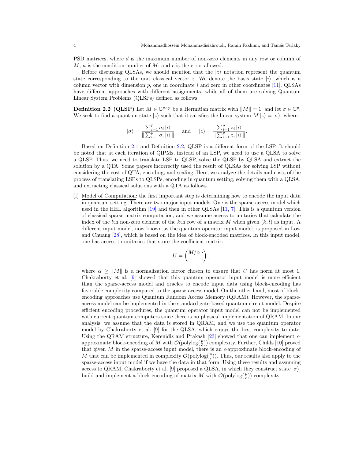PSD matrices, where d is the maximum number of non-zero elements in any row or column of M,  $\kappa$  is the condition number of M, and  $\epsilon$  is the error allowed.

Before discussing QLSAs, we should mention that the  $|z\rangle$  notation represent the quantum state corresponding to the unit classical vector z. We denote the basis state  $|i\rangle$ , which is a column vector with dimension  $p$ , one in coordinate i and zero in other coordinates [11]. QLSAs have different approaches with different assignments, while all of them are solving Quantum Linear System Problems (QLSPs) defined as follows.

**Definition 2.2 (QLSP)** Let  $M \in \mathbb{C}^{p \times p}$  be a Hermitian matrix with  $||M|| = 1$ , and let  $\sigma \in \mathbb{C}^p$ . We seek to find a quantum state  $|z\rangle$  such that it satisfies the linear system  $M |z\rangle = |\sigma\rangle$ , where

$$
|\sigma\rangle = \frac{\sum_{i=1}^p\sigma_i\,|i\rangle}{\|\sum_{i=1}^p\sigma_i\,|i\rangle\,|} \quad \text{ and } \quad |z\rangle = \frac{\sum_{i=1}^p z_i\,|i\rangle}{\|\sum_{i=1}^p z_i\,|i\rangle\,|}.
$$

Based on Definition 2.1 and Definition 2.2, QLSP is a different form of the LSP. It should be noted that at each iteration of QIPMs, instead of an LSP, we need to use a QLSA to solve a QLSP. Thus, we need to translate LSP to QLSP, solve the QLSP by QLSA and extract the solution by a QTA. Some papers incorrectly used the result of QLSAs for solving LSP without considering the cost of QTA, encoding, and scaling. Here, we analyze the details and costs of the process of translating LSPs to QLSPs, encoding in quantum setting, solving them with a QLSA, and extracting classical solutions with a QTA as follows.

(i) Model of Computation: the first important step is determining how to encode the input data in quantum setting. There are two major input models. One is the sparse-access model which used in the HHL algorithm [19] and then in other QLSAs [11, 7]. This is a quantum version of classical sparse matrix computation, and we assume access to unitaries that calculate the index of the lth non-zero element of the kth row of a matrix M when given  $(k, l)$  as input. A different input model, now known as the quantum operator input model, is proposed in Low and Chuang [28], which is based on the idea of block-encoded matrices. In this input model, one has access to unitaries that store the coefficient matrix:

$$
U=\begin{pmatrix} M/\alpha\\ \cdot \end{pmatrix},
$$

where  $\alpha \geq ||M||$  is a normalization factor chosen to ensure that U has norm at most 1. Chakraborty et al. [9] showed that this quantum operator input model is more efficient than the sparse-access model and oracles to encode input data using block-encoding has favorable complexity compared to the sparse-access model. On the other hand, most of blockencoding approaches use Quantum Random Access Memory (QRAM). However, the sparseaccess model can be implemented in the standard gate-based quantum circuit model. Despite efficient encoding procedures, the quantum operator input model can not be implemented with current quantum computers since there is no physical implementation of QRAM. In our analysis, we assume that the data is stored in QRAM, and we use the quantum operator model by Chakraborty et al. [9] for the QLSA, which enjoys the best complexity to date. Using the QRAM structure, Kerenidis and Prakash [23] showed that one can implement  $\epsilon$ approximate block-encoding of  $M$  with  $\mathcal{O}(\mathrm{polylog}(\frac{p}{\epsilon}))$  complexity. Further, Childs [10] proved that given M in the sparse-access input model, there is an  $\epsilon$ -approximate block-encoding of M that can be implemented in complexity  $\mathcal{O}(\text{polylog}(\frac{p}{\epsilon}))$ . Thus, our results also apply to the sparse-access input model if we have the data in that form. Using these results and assuming access to QRAM, Chakraborty et al. [9] proposed a QLSA, in which they construct state  $|\sigma\rangle$ , build and implement a block-encoding of matrix  $M$  with  $\mathcal{O}(\text{polylog}(\frac{p}{\epsilon}))$  complexity.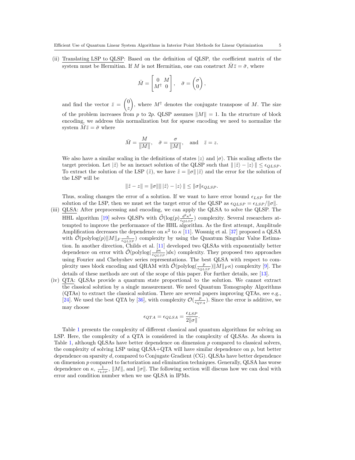(ii) Translating LSP to QLSP: Based on the definition of QLSP, the coefficient matrix of the system must be Hermitian. If M is not Hermitian, one can construct  $\overline{M}\overline{z}=\overline{\sigma}$ , where

$$
\bar{M} = \begin{bmatrix} 0 & M \\ M^{\dagger} & 0 \end{bmatrix}, \quad \bar{\sigma} = \begin{pmatrix} \sigma \\ 0 \end{pmatrix},
$$

and find the vector  $\bar{z}$  =  $(0)$ z  $\setminus$ , where  $M^{\dagger}$  denotes the conjugate transpose of M. The size of the problem increases from p to 2p. QLSP assumes  $||M|| = 1$ . In the structure of block encoding, we address this normalization but for sparse encoding we need to normalize the system  $\overline{M}\overline{z}=\overline{\sigma}$  where

$$
\bar{M} = \frac{M}{\|M\|}, \quad \bar{\sigma} = \frac{\sigma}{\|M\|}, \quad \text{and} \quad \bar{z} = z.
$$

We also have a similar scaling in the definitions of states  $|z\rangle$  and  $|\sigma\rangle$ . This scaling affects the target precision. Let  $|\tilde{z}\rangle$  be an inexact solution of the QLSP such that  $||\tilde{z}\rangle - |z\rangle || \leq \epsilon_{QLSP}$ . To extract the solution of the LSP  $(\tilde{z})$ , we have  $\tilde{z} = ||\sigma|| \, |\tilde{z}\rangle$  and the error for the solution of the LSP will be

$$
\|\tilde{z} - z\| = \|\sigma\| \|\tilde{z}\rangle - |z\rangle\| \le \|\sigma\| \epsilon_{QLSP}.
$$

Thus, scaling changes the error of a solution. If we want to have error bound  $\epsilon_{LSP}$  for the solution of the LSP, then we must set the target error of the QLSP as  $\epsilon_{QLSP} = \epsilon_{LSP}/||\sigma||$ .

- (iii) QLSA: After preprocessing and encoding, we can apply the QLSA to solve the QLSP. The HHL algorithm [19] solves QLSPs with  $\tilde{\mathcal{O}}(\log(p) \frac{d^2 \kappa^2}{\epsilon_{QLSI}})$  $\frac{d^2\kappa^2}{\epsilon_{QLSP}}$  complexity. Several researchers attempted to improve the performance of the HHL algorithm. As the first attempt, Amplitude Amplification decreases the dependence on  $\kappa^2$  to  $\kappa$  [11]. Wossnig et al. [37] proposed a QLSA with  $\tilde{\mathcal{O}}(\text{polylog}(p) || M ||_{F} \frac{\kappa}{\epsilon_{QLSP}})$  complexity by using the Quantum Singular Value Estimation. In another direction, Childs et al. [11] developed two QLSAs with exponentially better dependence on error with  $\tilde{\mathcal{O}}(\text{polylog}(\frac{\tilde{p}\kappa}{\epsilon_{QLSP}})d\kappa)$  complexity. They proposed two approaches using Fourier and Chebyshev series representations. The best QLSA with respect to complexity uses block encoding and QRAM with  $\tilde{\mathcal{O}}(\text{polylog}(\frac{p}{\epsilon_{QLSP}}) \|M\|_F \kappa)$  complexity [9]. The details of these methods are out of the scope of this paper. For further details, see [13].
- (iv) QTA: QLSAs provide a quantum state proportional to the solution. We cannot extract the classical solution by a single measurement. We need Quantum Tomography Algorithms (QTAs) to extract the classical solution. There are several papers improving QTAs, see e.g., [24]. We used the best QTA by [36], with complexity  $\mathcal{O}(\frac{p}{\epsilon_{QTA}})$ . Since the error is additive, we may choose

$$
\epsilon_{QTA} = \epsilon_{QLSA} = \frac{\epsilon_{LSP}}{2||\sigma||}.
$$

Table 1 presents the complexity of different classical and quantum algorithms for solving an LSP. Here, the complexity of a QTA is considered in the complexity of QLSAs. As shown in Table 1, although QLSAs have better dependence on dimension p compared to classical solvers, the complexity of solving LSP using  $QLSA+QTA$  will have similar dependence on  $p$ , but better dependence on sparsity d, compared to Conjugate Gradient (CG). QLSAs have better dependence on dimension p compared to factorization and elimination techniques. Generally, QLSA has worse dependence on  $\kappa$ ,  $\frac{1}{\epsilon_{LSP}}$ ,  $||M||$ , and  $||\sigma||$ . The following section will discuss how we can deal with error and condition number when we use QLSA in IPMs.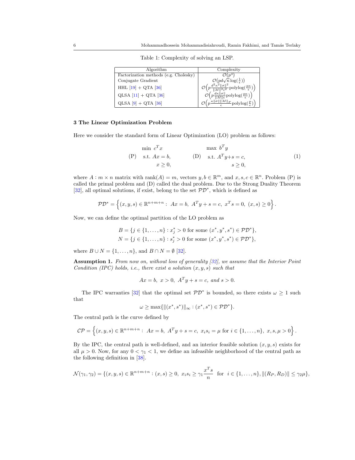| Algorithm                             | Complexity                                                                                                                                                                                        |
|---------------------------------------|---------------------------------------------------------------------------------------------------------------------------------------------------------------------------------------------------|
| Factorization methods (e.g. Cholesky) |                                                                                                                                                                                                   |
| Conjugate Gradient                    |                                                                                                                                                                                                   |
| HHL $[19] + QTA$ [36]                 | $\mathcal{O}\left(p d \sqrt{\kappa} \log(\frac{1}{\epsilon})\right)\\ \mathcal{O}\left(p \frac{d^2 \kappa^2 \ \sigma\ ^2}{\ M\ ^2 \epsilon^2} \mathrm{polylog}(\frac{p \kappa}{\epsilon})\right)$ |
| $QLSA [11] + QTA [36]$                | $\mathcal{O}\left(p\frac{d\kappa\ \sigma\ }{\ M\ \epsilon}\mathrm{polylog}(\frac{p\kappa}{\epsilon})\right)$                                                                                      |
| $QLSA$ [9] + QTA [36]                 | $\mathcal{O}\left(p^{\frac{\kappa}{\kappa} \left\ \sigma\right\  \left\ M\right\ _F}_{\epsilon} \mathrm{polylog}(\frac{p}{\epsilon})\right)$                                                      |

Table 1: Complexity of solving an LSP.

### 3 The Linear Optimization Problem

Here we consider the standard form of Linear Optimization (LO) problem as follows:

$$
\min c^{T} x \qquad \max b^{T} y
$$
  
(P) s.t.  $Ax = b$ ,  
 $x \ge 0$ ,  
(D) s.t.  $A^{T} y + s = c$ ,  
 $s \ge 0$ ,  
(1)

where  $A: m \times n$  matrix with rank $(A) = m$ , vectors  $y, b \in \mathbb{R}^m$ , and  $x, s, c \in \mathbb{R}^n$ . Problem (P) is called the primal problem and (D) called the dual problem. Due to the Strong Duality Theorem [32], all optimal solutions, if exist, belong to the set PD<sup>∗</sup> , which is defined as

$$
\mathcal{PD}^* = \left\{ (x, y, s) \in \mathbb{R}^{n+m+n} : Ax = b, A^T y + s = c, x^T s = 0, (x, s) \ge 0 \right\}.
$$

Now, we can define the optimal partition of the LO problem as

$$
B = \{ j \in \{1, ..., n\} : x_j^* > 0 \text{ for some } (x^*, y^*, s^*) \in \mathcal{PD}^* \},
$$
  

$$
N = \{ j \in \{1, ..., n\} : s_j^* > 0 \text{ for some } (x^*, y^*, s^*) \in \mathcal{PD}^* \},
$$

where  $B \cup N = \{1, \ldots, n\}$ , and  $B \cap N = \emptyset$  [32].

Assumption 1. From now on, without loss of generality [32], we assume that the Interior Point Condition (IPC) holds, i.e., there exist a solution  $(x, y, s)$  such that

$$
Ax = b, \ x > 0, \ A^T y + s = c, \ and \ s > 0.
$$

The IPC warranties [32] that the optimal set  $\mathcal{PD}^*$  is bounded, so there exists  $\omega \geq 1$  such that

$$
\omega \ge \max\{\|(x^*,s^*)\|_{\infty} : (x^*,s^*) \in \mathcal{PD}^*\}.
$$

The central path is the curve defined by

$$
\mathcal{CP} = \left\{ (x, y, s) \in \mathbb{R}^{n+m+n} : Ax = b, A^T y + s = c, x_i s_i = \mu \text{ for } i \in \{1, ..., n\}, x, s, \mu > 0 \right\}.
$$

By the IPC, the central path is well-defined, and an interior feasible solution  $(x, y, s)$  exists for all  $\mu > 0$ . Now, for any  $0 < \gamma_1 < 1$ , we define an infeasible neighborhood of the central path as the following definition in [38].

$$
\mathcal{N}(\gamma_1, \gamma_2) = \{(x, y, s) \in \mathbb{R}^{n+m+n} : (x, s) \ge 0, \ x_i s_i \ge \gamma_1 \frac{x^T s}{n} \text{ for } i \in \{1, \dots, n\}, \|(R_P, R_D)\| \le \gamma_2 \mu\},
$$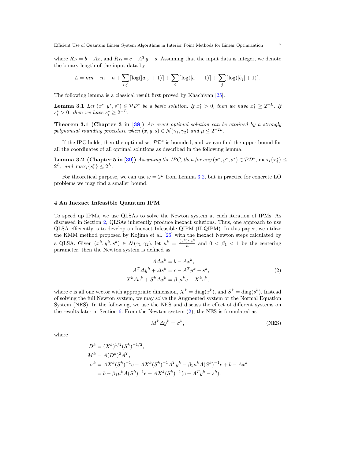where  $R_P = b - Ax$ , and  $R_D = c - A<sup>T</sup>y - s$ . Assuming that the input data is integer, we denote the binary length of the input data by

$$
L = mn + m + n + \sum_{i,j} \lceil \log(|a_{ij}| + 1) \rceil + \sum_i \lceil \log(|c_i| + 1) \rceil + \sum_j \lceil \log(|b_j| + 1) \rceil.
$$

The following lemma is a classical result first proved by Khachiyan [25].

**Lemma 3.1** Let  $(x^*, y^*, s^*) \in \mathcal{PD}^*$  be a basic solution. If  $x_i^* > 0$ , then we have  $x_i^* \geq 2^{-L}$ . If  $s_i^* > 0$ , then we have  $s_i^* \geq 2^{-L}$ .

**Theorem 3.1 (Chapter 3 in [38])** An exact optimal solution can be attained by a strongly polynomial rounding procedure when  $(x, y, s) \in \mathcal{N}(\gamma_1, \gamma_2)$  and  $\mu \leq 2^{-2L}$ .

If the IPC holds, then the optimal set  $\mathcal{PD}^*$  is bounded, and we can find the upper bound for all the coordinates of all optimal solutions as described in the following lemma.

**Lemma 3.2** (Chapter 5 in [39]) Assuming the IPC, then for any  $(x^*, y^*, s^*) \in \mathcal{PD}^*$ ,  $\max_i \{x_i^*\} \le$  $2^L$ , and  $\max_i \{ s_i^* \} \le 2^L$ .

For theoretical purpose, we can use  $\omega = 2^L$  from Lemma 3.2, but in practice for concrete LO problems we may find a smaller bound.

#### 4 An Inexact Infeasible Quantum IPM

To speed up IPMs, we use QLSAs to solve the Newton system at each iteration of IPMs. As discussed in Section 2, QLSAs inherently produce inexact solutions. Thus, one approach to use QLSA efficiently is to develop an Inexact Infeasible QIPM (II-QIPM). In this paper, we utilize the KMM method proposed by Kojima et al. [26] with the inexact Newton steps calculated by a QLSA. Given  $(x^k, y^k, s^k) \in \mathcal{N}(\gamma_1, \gamma_2)$ , let  $\mu^k = \frac{(x^k)^T s^k}{n}$  $\frac{1}{n}$  and  $0 < \beta_1 < 1$  be the centering parameter, then the Newton system is defined as

$$
A\Delta x^{k} = b - Ax^{k},
$$
  
\n
$$
A^{T}\Delta y^{k} + \Delta s^{k} = c - A^{T}y^{k} - s^{k},
$$
  
\n
$$
X^{k}\Delta s^{k} + S^{k}\Delta x^{k} = \beta_{1}\mu^{k}e - X^{k}s^{k},
$$
\n(2)

where e is all one vector with appropriate dimension,  $X^k = \text{diag}(x^k)$ , and  $S^k = \text{diag}(s^k)$ . Instead of solving the full Newton system, we may solve the Augmented system or the Normal Equation System (NES). In the following, we use the NES and discuss the effect of different systems on the results later in Section 6. From the Newton system (2), the NES is formulated as

$$
M^k \Delta y^k = \sigma^k,\tag{NES}
$$

where

$$
D^{k} = (X^{k})^{1/2} (S^{k})^{-1/2},
$$
  
\n
$$
M^{k} = A(D^{k})^{2} A^{T},
$$
  
\n
$$
\sigma^{k} = AX^{k} (S^{k})^{-1} c - AX^{k} (S^{k})^{-1} A^{T} y^{k} - \beta_{1} \mu^{k} A (S^{k})^{-1} e + b - Ax^{k}
$$
  
\n
$$
= b - \beta_{1} \mu^{k} A (S^{k})^{-1} e + AX^{k} (S^{k})^{-1} (c - A^{T} y^{k} - s^{k}).
$$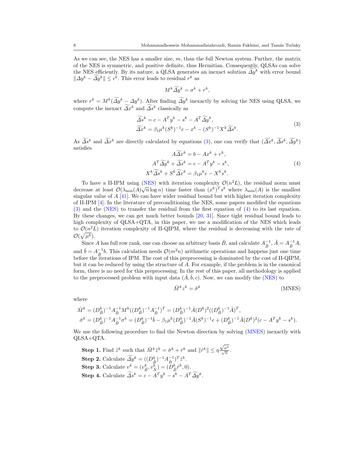As we can see, the NES has a smaller size, m, than the full Newton system. Further, the matrix of the NES is symmetric, and positive definite, thus Hermitian. Consequently, QLSAs can solve the NES efficiently. By its nature, a QLSA generates an inexact solution  $\Delta y^k$  with error bound  $||\Delta y^k - \Delta y^k|| \le \epsilon^k$ . This error leads to residual  $r^k$  as

$$
M^k \widetilde{\Delta y}^k = \sigma^k + r^k
$$

where  $r^k = M^k(\widetilde{\Delta y}^k - \Delta y^k)$ . After finding  $\widetilde{\Delta y}^k$  inexactly by solving the NES using QLSA, we compute the inexact  $\Delta x^k$  and  $\Delta s^k$  classically as

$$
\widetilde{\Delta s}^k = c - A^T y^k - s^k - A^T \widetilde{\Delta y}^k,
$$
  
\n
$$
\widetilde{\Delta x}^k = \beta_1 \mu^k (S^k)^{-1} e - x^k - (S^k)^{-1} X^k \widetilde{\Delta s}^k.
$$
\n(3)

,

As  $\Delta s^k$  and  $\Delta x^k$  are directly calculated by equations (3), one can verify that  $(\Delta x^k, \Delta s^k, \Delta y^k)$ satisfies

$$
A\widetilde{\Delta x}^{k} = b - Ax^{k} + r^{k},
$$
  
\n
$$
A^{T}\widetilde{\Delta y}^{k} + \widetilde{\Delta s}^{k} = c - A^{T}y^{k} - s^{k},
$$
  
\n
$$
X^{k}\widetilde{\Delta s}^{k} + S^{k}\widetilde{\Delta x}^{k} = \beta_{1}\mu^{k}e - X^{k}s^{k}.
$$
\n(4)

To have a II-IPM using (NES) with iteration complexity  $\mathcal{O}(n^2L)$ , the residual norm must decrease at least  $\mathcal{O}(\lambda_{\min}(A)\sqrt{n}\log n)$  time faster than  $(x^k)^T s^k$  where  $\lambda_{\min}(A)$  is the smallest singular value of  $A$  [41]. We can have wider residual bound but with higher iteration complexity of II-IPM [4]. In the literature of preconditioning the NES, some papers modified the equations (3) and the (NES) to transfer the residual from the first equation of (4) to its last equation. By these changes, we can get much better bounds [20, 31]. Since tight residual bound leads to high complexity of QLSA+QTA, in this paper, we use a modification of the NES which leads to  $\mathcal{O}(\underline{n}^2L)$  iteration complexity of II-QIPM, where the residual is decreasing with the rate of  $\mathcal{O}(\sqrt{\mu^k}).$ 

Since A has full row rank, one can choose an arbitrary basis  $\hat{B}$ , and calculate  $A_{\hat{B}}^{-1}$ ,  $\hat{A} = A_{\hat{B}}^{-1}A$ , and  $\hat{b} = A_{\hat{B}}^{-1}b$ . This calculation needs  $\mathcal{O}(m^2n)$  arithmetic operations and happens just one time before the iterations of IPM. The cost of this preprocessing is dominated by the cost of II-QIPM, but it can be reduced by using the structure of A. For example, if the problem is in the canonical form, there is no need for this preprocessing. In the rest of this paper, all methodology is applied to the preprocessed problem with input data  $(\hat{A}, \hat{b}, c)$ . Now, we can modify the (NES) to

$$
\hat{M}^k z^k = \hat{\sigma}^k \tag{MNES}
$$

where

$$
\hat{M}^k = (D_{\hat{B}}^k)^{-1} A_{\hat{B}}^{-1} M^k ((D_{\hat{B}}^k)^{-1} A_{\hat{B}}^{-1})^T = (D_{\hat{B}}^k)^{-1} \hat{A} (D^k)^2 ((D_{\hat{B}}^k)^{-1} \hat{A})^T,
$$
  
\n
$$
\hat{\sigma}^k = (D_{\hat{B}}^k)^{-1} A_{\hat{B}}^{-1} \sigma^k = (D_{\hat{B}}^k)^{-1} \hat{b} - \beta_1 \mu^k (D_{\hat{B}}^k)^{-1} \hat{A} (S^k)^{-1} e + (D_{\hat{B}}^k)^{-1} \hat{A} (D^k)^2 (c - A^T y^k - s^k).
$$

We use the following procedure to find the Newton direction by solving (MNES) inexactly with QLSA+QTA.

**Step 1.** Find  $\tilde{z}^k$  such that  $\hat{M}^k \tilde{z}^k = \hat{\sigma}^k + \hat{r}^k$  and  $\|\hat{r}^k\| \leq \eta \frac{\sqrt{\mu^k}}{\sqrt{n}}$ . **Step 2.** Calculate  $\widetilde{A}y^k = ((D_{\hat{B}}^k)^{-1}A_{\hat{B}}^{-1})^T\tilde{z}^k$ . **Step 3.** Calculate  $v^k = (v^k_{\hat{B}}, v^k_{\hat{N}}) = (D^k_{\hat{B}} \hat{r}^k, 0).$ **Step 4.** Calculate  $\widetilde{\Delta s}^k = c - A^T y^k - s^k - A^T \widetilde{\Delta y}^k$ .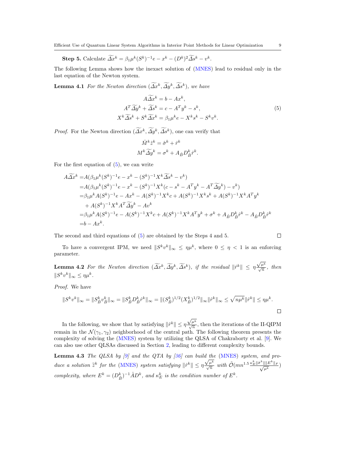**Step 5.** Calculate  $\Delta x^k = \beta_1 \mu^k (S^k)^{-1} e - x^k - (D^k)^2 \Delta s^k - v^k$ .

The following Lemma shows how the inexact solution of (MNES) lead to residual only in the last equation of the Newton system.

**Lemma 4.1** For the Newton direction  $(\Delta x^k, \Delta y^k, \Delta s^k)$ , we have

$$
A\widetilde{\Delta x}^{k} = b - Ax^{k},
$$
  
\n
$$
A^{T}\widetilde{\Delta y}^{k} + \widetilde{\Delta s}^{k} = c - A^{T}y^{k} - s^{k},
$$
  
\n
$$
X^{k}\widetilde{\Delta s}^{k} + S^{k}\widetilde{\Delta x}^{k} = \beta_{1}\mu^{k}e - X^{k}s^{k} - S^{k}v^{k}.
$$
\n(5)

*Proof.* For the Newton direction  $(\Delta x^k, \Delta y^k, \Delta s^k)$ , one can verify that

$$
\label{eq:1} \begin{split} \hat{M}^k \tilde{z}^k &= \hat{\sigma}^k + \hat{r}^k \\ M^k \widetilde{\varDelta y}^k &= \sigma^k + A_{\hat{B}} D_{\hat{B}}^k \hat{r}^k. \end{split}
$$

For the first equation of  $(5)$ , we can write

$$
A\widetilde{\Delta x}^{k} = A(\beta_{1}\mu^{k}(S^{k})^{-1}e - x^{k} - (S^{k})^{-1}X^{k}\widetilde{\Delta s}^{k} - v^{k})
$$
  
\n
$$
= A(\beta_{1}\mu^{k}(S^{k})^{-1}e - x^{k} - (S^{k})^{-1}X^{k}(c - s^{k} - A^{T}y^{k} - A^{T}\widetilde{\Delta y}^{k}) - v^{k})
$$
  
\n
$$
= \beta_{1}\mu^{k}A(S^{k})^{-1}e - Ax^{k} - A(S^{k})^{-1}X^{k}c + A(S^{k})^{-1}X^{k}s^{k} + A(S^{k})^{-1}X^{k}A^{T}y^{k}
$$
  
\n
$$
+ A(S^{k})^{-1}X^{k}A^{T}\widetilde{\Delta y}^{k} - Av^{k}
$$
  
\n
$$
= \beta_{1}\mu^{k}A(S^{k})^{-1}e - A(S^{k})^{-1}X^{k}c + A(S^{k})^{-1}X^{k}A^{T}y^{k} + \sigma^{k} + A_{\hat{B}}D_{\hat{B}}^{k}\hat{r}^{k} - A_{\hat{B}}D_{\hat{B}}^{k}\hat{r}^{k}
$$
  
\n
$$
= b - Ax^{k}.
$$

The second and third equations of (5) are obtained by the Steps 4 and 5.

To have a convergent IPM, we need  $||S^k v^k||_{\infty} \le \eta \mu^k$ , where  $0 \le \eta < 1$  is an enforcing parameter.

**Lemma 4.2** For the Newton direction  $(\widetilde{\Delta x}^k, \widetilde{\Delta y}^k, \widetilde{\Delta s}^k)$ , if the residual  $\|\hat{r}^k\| \leq \eta \frac{\sqrt{\mu^k}}{\sqrt{n}}$ , then  $||S^k v^k||_{\infty} \leq \eta \mu^k.$ 

Proof. We have

$$
||S^k v^k||_{\infty} = ||S_{\hat{B}}^k v_{\hat{B}}^k||_{\infty} = ||S_{\hat{B}}^k D_{\hat{B}}^k \hat{r}^k||_{\infty} = ||(S_{\hat{B}}^k)^{1/2} (X_{\hat{B}}^k)^{1/2}||_{\infty} ||\hat{r}^k||_{\infty} \le \sqrt{n\mu^k} ||\hat{r}^k|| \le \eta \mu^k.
$$

In the following, we show that by satisfying  $\|\hat{r}^k\| \le \eta \frac{\sqrt{\mu^k}}{\sqrt{n}}$ , then the iterations of the II-QIPM remain in the  $\mathcal{N}(\gamma_1, \gamma_2)$  neighborhood of the central path. The following theorem presents the complexity of solving the (MNES) system by utilizing the QLSA of Chakraborty et al. [9]. We can also use other QLSAs discussed in Section 2, leading to different complexity bounds.

**Lemma 4.3** The QLSA by  $[9]$  and the QTA by  $[36]$  can build the (MNES) system, and produce a solution  $\tilde{z}^k$  for the (MNES) system satisfying  $\|\hat{r}^k\| \leq \eta \frac{\sqrt{\mu^k}}{\sqrt{n}}$  with  $\tilde{O}(mn^{1.5} \frac{\kappa_E^k \|\hat{\sigma}^k\| \|E^k\|_F}{\sqrt{\mu^k}})$ complexity, where  $E^k = (D_{\hat{B}}^k)^{-1} \hat{A} D^k$ , and  $\kappa_E^k$  is the condition number of  $E^k$ .

$$
\qquad \qquad \Box
$$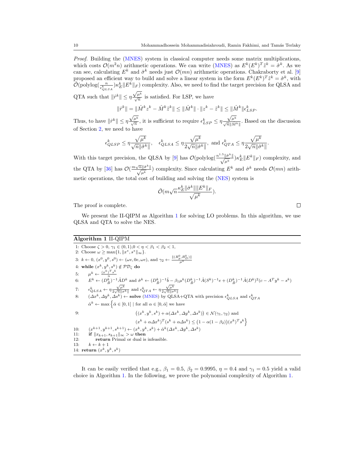Proof. Building the (MNES) system in classical computer needs some matrix multiplications, which costs  $\mathcal{O}(m^2n)$  arithmetic operations. We can write (MNES) as  $E^k(E^k)^T \tilde{z}^k = \hat{\sigma}^k$ . As we can see, calculating  $E^k$  and  $\hat{\sigma}^k$  needs just  $\mathcal{O}(mn)$  arithmetic operations. Chakraborty et al. [9] proposed an efficient way to build and solve a linear system in the form  $E^k(E^k)^T \tilde{z}^k = \hat{\sigma}^k$ , with  $\tilde{\mathcal{O}}(\text{polylog}(\frac{n}{\epsilon_{QLSA}^k})\kappa_E^k||F)$  complexity. Also, we need to find the target precision for QLSA and

QTA such that  $||\hat{r}^k|| \leq \eta \frac{\sqrt{\mu^k}}{\sqrt{n}}$  is satisfied. For LSP, we have

$$
\|\hat{r}^k\| = \|\hat{M}^k z^k - \hat{M}^k \tilde{z}^k\| \le \|\hat{M}^k\| \cdot \|z^k - \tilde{z}^k\| \le \|\hat{M}^k\| \epsilon_{LSP}^k.
$$

Thus, to have  $\|\hat{r}^k\| \leq \eta \frac{\sqrt{\mu^k}}{\sqrt{n}}$ , it is sufficient to require  $\epsilon_{LSP}^k \leq \eta$  $\frac{\sqrt{\mu^k}}{\sqrt{n}\|\hat{M}^k\|}$  . Based on the discussion of Section 2, we need to have

$$
\epsilon_{QLSP}^k \leq \eta \frac{\sqrt{\mu^k}}{\sqrt{n} \|\hat{\sigma}^k\|}, \quad \epsilon_{QLSA}^k \leq \eta \frac{\sqrt{\mu^k}}{2\sqrt{n} \|\hat{\sigma}^k\|}, \text{ and } \epsilon_{QTA}^k \leq \eta \frac{\sqrt{\mu^k}}{2\sqrt{n} \|\hat{\sigma}^k\|}.
$$

With this target precision, the QLSA by [9] has  $\mathcal{O}(\text{polylog}(\frac{n^{1.5} \|\hat{\sigma}^k\|}{\sqrt{\mu^k}})\kappa_E^k||E^k||_F)$  complexity, and the QTA by [36] has  $\mathcal{O}(\frac{m\sqrt{n}||\hat{\sigma}^k||}{\sqrt{\mu^k}})$  complexity. Since calculating  $E^k$  and  $\hat{\sigma}^k$  needs  $\mathcal{O}(mn)$  arithmetic operations, the total cost of building and solving the (NES) system is

$$
\tilde{\mathcal{O}}(m\sqrt{n}\frac{\kappa_E^k \|\hat{\sigma}^k\| \|E^k\|_F }{\sqrt{\mu^k}}).
$$

The proof is complete.

We present the II-QIPM as Algorithm 1 for solving LO problems. In this algorithm, we use QLSA and QTA to solve the NES.

# Algorithm 1 II-QIPM

1: Choose  $\zeta > 0$ ,  $\gamma_1 \in (0, 1)$ ,  $0 < \eta < \beta_1 < \beta_2 < 1$ , 2: Choose  $\omega \ge \max\{1, ||x^*, s^*||_{\infty}\}.$ 3:  $k \leftarrow 0, (x^0, y^0, s^0) \leftarrow (\omega e, 0e, \omega e)$ , and  $\gamma_2 \leftarrow \frac{\| (R_p^0, R_D^0) \|}{\mu^0}$ 4: while  $(x^k, y^k, s^k) \notin \mathcal{PD}_{\zeta}$  do 5:  $\mu^k \leftarrow \frac{(x^k)^T s^k}{n}$ 6:  $E^k \leftarrow (D_{\hat{B}}^k)^{-1} \hat{A} D^k$  and  $\hat{\sigma}^k \leftarrow (D_{\hat{B}}^k)^{-1} \hat{b} - \beta_1 \mu^k (D_{\hat{B}}^k)^{-1} \hat{A} (S^k)^{-1} e + (D_{\hat{B}}^k)^{-1} \hat{A} (D^k)^2 (c - A^T y^k - s^k)$ 7:  $\epsilon_{QLSA}^k \leftarrow \eta \frac{\sqrt{\mu^k}}{2\sqrt{n} ||\sigma^k||}$  and  $\epsilon_{QTA}^k \leftarrow \eta \frac{\sqrt{\mu^k}}{2\sqrt{n} ||\sigma^k||}$ 8:  $(\Delta x^k, \Delta y^k, \Delta s^k) \leftarrow \textbf{solve (MNES)}$  by QLSA+QTA with precision  $\epsilon_{QLSA}^k$  and  $\epsilon_{QISA}^k$ 9:  $\hat{\alpha}^k \leftarrow \max \Big\{\bar{\alpha} \in [0,1] \ | \ \text{for all } \alpha \in [0,\bar{\alpha}] \text{ we have }$  $((x^k, y^k, s^k) + \alpha(\Delta x^k, \Delta y^k, \Delta s^k)) \in \mathcal{N}(\gamma_1, \gamma_2)$  and  $(x^{k} + \alpha \Delta x^{k})^T (s^{k} + \alpha \Delta s^{k}) \leq (1 - \alpha (1 - \beta_2))(x^{k})^T s^{k}$ 10:  $(x^{k+1}, y^{k+1}, s^{k+1}) \leftarrow (x^k, y^k, s^k) + \hat{\alpha}^k (\Delta x^k, \Delta y^k, \Delta s^k)$ 11: **if**  $||x_{k+1}, s_{k+1}||_{\infty} > \omega$  then<br>12: **return** Primal or dual is return Primal or dual is infeasible. 13:  $k \leftarrow k + 1$ 14: return  $(x^k, y^k, s^k)$ 

It can be easily verified that e.g.,  $\beta_1 = 0.5$ ,  $\beta_2 = 0.9995$ ,  $\eta = 0.4$  and  $\gamma_1 = 0.5$  yield a valid choice in Algorithm 1. In the following, we prove the polynomial complexity of Algorithm 1.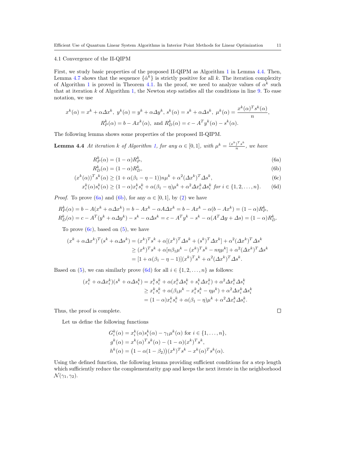# 4.1 Convergence of the II-QIPM

First, we study basic properties of the proposed II-QIPM as Algorithm 1 in Lemma 4.4. Then, Lemma 4.7 shows that the sequence  $\{\hat{\alpha}^k\}$  is strictly positive for all k. The iteration complexity of Algorithm 1 is proved in Theorem 4.1. In the proof, we need to analyze values of  $\alpha^k$  such that at iteration  $k$  of Algorithm 1, the Newton step satisfies all the conditions in line 9. To ease notation, we use

$$
x^{k}(\alpha) = x^{k} + \alpha \Delta x^{k}, \ y^{k}(\alpha) = y^{k} + \alpha \Delta y^{k}, \ s^{k}(\alpha) = s^{k} + \alpha \Delta s^{k}, \ \mu^{k}(\alpha) = \frac{x^{k}(\alpha)^{T} s^{k}(\alpha)}{n},
$$

$$
R_{P}^{k}(\alpha) = b - Ax^{k}(\alpha), \text{ and } R_{D}^{k}(\alpha) = c - A^{T} y^{k}(\alpha) - s^{k}(\alpha).
$$

The following lemma shows some properties of the proposed II-QIPM.

**Lemma 4.4** At iteration k of Algorithm 1, for any  $\alpha \in [0,1]$ , with  $\mu^k = \frac{(x^k)^T s^k}{n}$  $\frac{1}{n}$ , we have

$$
R_P^k(\alpha) = (1 - \alpha)R_P^k,\tag{6a}
$$

$$
R_D^k(\alpha) = (1 - \alpha)R_D^k,\tag{6b}
$$

$$
(xk(\alpha))T sk(\alpha) \ge (1 + \alpha(\beta_1 - \eta - 1))n\muk + \alpha^2(\Delta xk)T \Delta sk,
$$
\n(6c)

$$
x_i^k(\alpha)s_i^k(\alpha) \ge (1-\alpha)x_i^k s_i^k + \alpha(\beta_1 - \eta)\mu^k + \alpha^2 \Delta x_i^k \Delta s_i^k \text{ for } i \in \{1, 2, \dots, n\}. \tag{6d}
$$

*Proof.* To prove (6a) and (6b), for any  $\alpha \in [0, 1]$ , by (2) we have

$$
R_P^k(\alpha) = b - A(x^k + \alpha \Delta x^k) = b - Ax^k - \alpha A \Delta x^k = b - Ax^k - \alpha (b - Ax^k) = (1 - \alpha) R_P^k,
$$
  
\n
$$
R_D^k(\alpha) = c - A^T (y^k + \alpha \Delta y^k) - s^k - \alpha \Delta s^k = c - A^T y^k - s^k - \alpha (A^T \Delta y + \Delta s) = (1 - \alpha) R_D^k.
$$

To prove  $(6c)$ , based on  $(5)$ , we have

$$
(x^{k} + \alpha \Delta x^{k})^{T} (s^{k} + \alpha \Delta s^{k}) = (x^{k})^{T} s^{k} + \alpha [(x^{k})^{T} \Delta s^{k} + (s^{k})^{T} \Delta x^{k}] + \alpha^{2} (\Delta x^{k})^{T} \Delta s^{k}
$$
  
\n
$$
\ge (x^{k})^{T} s^{k} + \alpha [n\beta_{1}\mu^{k} - (x^{k})^{T} s^{k} - n\eta \mu^{k}] + \alpha^{2} (\Delta x^{k})^{T} \Delta s^{k}
$$
  
\n
$$
= [1 + \alpha(\beta_{1} - \eta - 1)](x^{k})^{T} s^{k} + \alpha^{2} (\Delta x^{k})^{T} \Delta s^{k}.
$$

Based on (5), we can similarly prove (6d) for all  $i \in \{1, 2, ..., n\}$  as follows:

$$
(x_i^k + \alpha \Delta x_i^k)(s^k + \alpha \Delta s_i^k) = x_i^k s_i^k + \alpha (x_i^k \Delta s_i^k + s_i^k \Delta x_i^k) + \alpha^2 \Delta x_i^k \Delta s_i^k
$$
  
\n
$$
\ge x_i^k s_i^k + \alpha (\beta_1 \mu^k - x_i^k s_i^k - \eta \mu^k) + \alpha^2 \Delta x_i^k \Delta s_i^k
$$
  
\n
$$
= (1 - \alpha) x_i^k s_i^k + \alpha (\beta_1 - \eta) \mu^k + \alpha^2 \Delta x_i^k \Delta s_i^k.
$$

Thus, the proof is complete.

Let us define the following functions

$$
G_i^k(\alpha) = x_i^k(\alpha)s_i^k(\alpha) - \gamma_1\mu^k(\alpha) \text{ for } i \in \{1, ..., n\},
$$
  
\n
$$
g^k(\alpha) = x^k(\alpha)^T s^k(\alpha) - (1 - \alpha)(x^k)^T s^k,
$$
  
\n
$$
h^k(\alpha) = (1 - \alpha(1 - \beta_2))(x^k)^T s^k - x^k(\alpha)^T s^k(\alpha).
$$

Using the defined function, the following lemma providing sufficient conditions for a step length which sufficiently reduce the complementarity gap and keeps the next iterate in the neighborhood  $\mathcal{N}(\gamma_1, \gamma_2).$ 

 $\Box$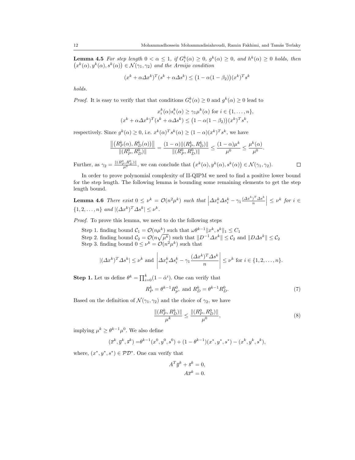**Lemma 4.5** For step length  $0 < \alpha \leq 1$ , if  $G_i^k(\alpha) \geq 0$ ,  $g^k(\alpha) \geq 0$ , and  $h^k(\alpha) \geq 0$  holds, then  $(x^k(\alpha), y^k(\alpha), s^k(\alpha)) \in \mathcal{N}(\gamma_1, \gamma_2)$  and the Armijo condition

$$
(x^{k} + \alpha \Delta x^{k})^{T} (s^{k} + \alpha \Delta s^{k}) \le (1 - \alpha (1 - \beta_{2})) (x^{k})^{T} s^{k}
$$

holds.

*Proof.* It is easy to verify that that conditions  $G_i^k(\alpha) \geq 0$  and  $g^k(\alpha) \geq 0$  lead to

$$
x_i^k(\alpha)s_i^k(\alpha) \ge \gamma_1\mu^k(\alpha) \text{ for } i \in \{1, \dots, n\},
$$

$$
(x^k + \alpha \Delta x^k)^T(s^k + \alpha \Delta s^k) \le (1 - \alpha(1 - \beta_2))(x^k)^T s^k,
$$

respectively. Since  $g^k(\alpha) \geq 0$ , i.e.  $x^k(\alpha)^T s^k(\alpha) \geq (1 - \alpha)(x^k)^T s^k$ , we have

$$
\frac{\left\|\left(R_{P}^{k}(\alpha),R_{D}^{k}(\alpha)\right)\right\|}{\left\|(R_{P}^{0},R_{D}^{0})\right\|}=\frac{(1-\alpha)\|(R_{P}^{k},R_{D}^{k})\|}{\left\|(R_{P}^{0},R_{D}^{0})\right\|}\leq \frac{(1-\alpha)\mu^{k}}{\mu^{0}}\leq \frac{\mu^{k}(\alpha)}{\mu^{0}}.
$$

Further, as  $\gamma_2 = \frac{\|(R_P^0, R_D^0)\|}{\mu^0}$ , we can conclude that  $(x^k(\alpha), y^k(\alpha), s^k(\alpha)) \in \mathcal{N}(\gamma_1, \gamma_2)$ .  $\Box$ 

In order to prove polynomial complexity of II-QIPM we need to find a positive lower bound for the step length. The following lemma is bounding some remaining elements to get the step length bound.

**Lemma 4.6** There exist 
$$
0 \le \nu^k = \mathcal{O}(n^2 \mu^k)
$$
 such that  $\left| \Delta x_i^k \Delta s_i^k - \gamma_1 \frac{(\Delta x^k)^T \Delta s^k}{n} \right| \le \nu^k$  for  $i \in \{1, 2, ..., n\}$  and  $|(\Delta x^k)^T \Delta s^k| \le \nu^k$ .

Proof. To prove this lemma, we need to do the following steps

Step 1. finding bound  $C_1 = \mathcal{O}(n\mu^k)$  such that  $\omega \theta^{k-1} || x^k, s^k ||_1 \leq C_1$ 

Step 2. finding bound  $\mathcal{C}_2 = \mathcal{O}(n\sqrt{\mu^k})$  such that  $||D^{-1}\Delta x^k|| \leq \mathcal{C}_2$  and  $||D\Delta s^k|| \leq \mathcal{C}_2$ Step 3. finding bound  $0 \leq \nu^k = \mathcal{O}(n^2 \mu^k)$  such that

$$
|(\Delta x^k)^T \Delta s^k| \le \nu^k \text{ and } \left| \Delta x_i^k \Delta s_i^k - \gamma_1 \frac{(\Delta x^k)^T \Delta s^k}{n} \right| \le \nu^k \text{ for } i \in \{1, 2, \dots, n\}.
$$

**Step 1.** Let us define  $\theta^k = \prod_{i=0}^k (1 - \hat{\alpha}^i)$ . One can verify that

$$
R_P^k = \theta^{k-1} R_p^0, \text{ and } R_D^k = \theta^{k-1} R_D^0. \tag{7}
$$

Based on the definition of  $\mathcal{N}(\gamma_1, \gamma_2)$  and the choice of  $\gamma_2$ , we have

$$
\frac{\|(R_P^k, R_D^k)\|}{\mu^k} \le \frac{\|(R_P^0, R_D^0)\|}{\mu^0},\tag{8}
$$

implying  $\mu^k \geq \theta^{k-1} \mu^0$ . We also define

$$
(\overline{x}^k, \overline{y}^k, \overline{s}^k) = \theta^{k-1}(x^0, y^0, s^0) + (1 - \theta^{k-1})(x^*, y^*, s^*) - (x^k, y^k, s^k),
$$

where,  $(x^*, y^*, s^*) \in \mathcal{PD}^*$ . One can verify that

$$
A^T \bar{y}^k + \bar{s}^k = 0,
$$
  

$$
A\bar{x}^k = 0.
$$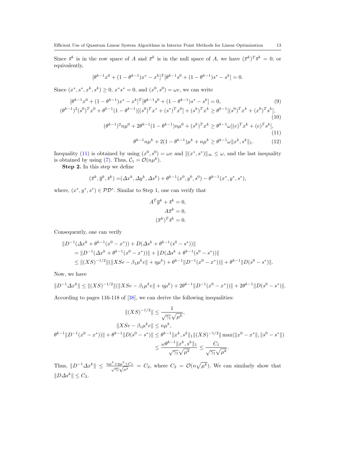Since  $\bar{s}^k$  is in the row space of A and  $\bar{x}^k$  is in the null space of A, we have  $(\bar{x}^k)^T \bar{s}^k = 0$ , or equivalently,

$$
[\theta^{k-1}x^0 + (1 - \theta^{k-1})x^* - x^k]^T [\theta^{k-1}s^0 + (1 - \theta^{k-1})s^* - s^k] = 0.
$$

Since  $(x^*, s^*, x^k, s^k) \ge 0$ ,  $x^*s^* = 0$ , and  $(x^0, s^0) = \omega e$ , we can write

$$
[\theta^{k-1}x^{0} + (1 - \theta^{k-1})x^{*} - x^{k}]^{T}[\theta^{k-1}s^{0} + (1 - \theta^{k-1})s^{*} - s^{k}] = 0,
$$
\n
$$
(\theta^{k-1})^{2}(s^{0})^{T}x^{0} + \theta^{k-1}(1 - \theta^{k-1})[(s^{0})^{T}x^{*} + (s^{*})^{T}x^{0}] + (s^{k})^{T}x^{k} \geq \theta^{k-1}[(s^{0})^{T}x^{k} + (x^{0})^{T}s^{k}],
$$
\n
$$
(10)
$$
\n
$$
(\theta^{k-1})^{2}n\mu^{0} + 2\theta^{k-1}(1 - \theta^{k-1})n\mu^{0} + (s^{k})^{T}x^{k} \geq \theta^{k-1}\omega[(e)^{T}x^{k} + (e)^{T}s^{k}],
$$
\n
$$
(11)
$$
\n
$$
\theta^{k-1}n\mu^{k} + 2(1 - \theta^{k-1})\mu^{k} + n\mu^{k} \geq \theta^{k-1}\omega||x^{k}, s^{k}||_{1}.
$$
\n
$$
(12)
$$

Inequality (11) is obtained by using  $(x^0, s^0) = \omega e$  and  $||(x^*, s^*)||_{\infty} \leq \omega$ , and the last inequality is obtained by using (7). Thus,  $C_1 = \mathcal{O}(n\mu^k)$ .

Step 2. In this step we define

$$
(\overline{x}^k, \overline{y}^k, \overline{s}^k) = (\Delta x^k, \Delta y^k, \Delta s^k) + \theta^{k-1}(x^0, y^0, s^0) - \theta^{k-1}(x^*, y^*, s^*),
$$

where,  $(x^*, y^*, s^*) \in \mathcal{PD}^*$ . Similar to Step 1, one can verify that

$$
A^T \overline{y}^k + \overline{s}^k = 0,
$$
  
\n
$$
A\overline{x}^k = 0,
$$
  
\n
$$
(\overline{x}^k)^T \overline{s}^k = 0.
$$

Consequently, one can verify

$$
||D^{-1}(\Delta x^k + \theta^{k-1}(x^0 - x^*)) + D(\Delta s^k + \theta^{k-1}(s^0 - s^*))||
$$
  
= 
$$
||D^{-1}(\Delta x^k + \theta^{k-1}(x^0 - x^*))|| + ||D(\Delta s^k + \theta^{k-1}(s^0 - s^*))||
$$
  

$$
\leq ||(XS)^{-1/2}||(||XSe - \beta_1\mu^k e|| + \eta\mu^k) + \theta^{k-1}||D^{-1}(x^0 - x^*))|| + \theta^{k-1}||D(s^0 - s^*)||.
$$

Now, we have

$$
||D^{-1} \Delta x^{k}|| \le ||(XS)^{-1/2}||(||XSe - \beta_1 \mu^k e|| + \eta \mu^k) + 2\theta^{k-1}||D^{-1}(x^0 - x^*))|| + 2\theta^{k-1}||D(s^0 - s^*)||.
$$

According to pages 116-118 of [38], we can derive the following inequalities:

$$
||(XS)^{-1/2}|| \le \frac{1}{\sqrt{\gamma_1}\sqrt{\mu^k}},
$$
  

$$
||XSe - \beta_1\mu^k e|| \le n\mu^k,
$$
  

$$
\theta^{k-1}||D^{-1}(x^0 - x^*))|| + \theta^{k-1}||D(s^0 - s^*)|| \le \theta^{k-1}||x^k, s^k||_1||(XS)^{-1/2}||\max(||x^0 - x^*||, ||s^0 - s^*||)
$$
  

$$
\le \frac{\omega\theta^{k-1}||x^k, s^k||_1}{\sqrt{\gamma_1}\sqrt{\mu^k}} \le \frac{C_1}{\sqrt{\gamma_1}\sqrt{\mu^k}}.
$$

Thus,  $||D^{-1}\Delta x^k|| \le \frac{n\mu^k + n\mu^k + C_1}{\sqrt{n}\sqrt{\mu^k}} = C_2$ , where  $C_2 = \mathcal{O}(n\sqrt{\mu^k})$ . We can similarly show that  $||D\Delta s^k|| \leq C_2.$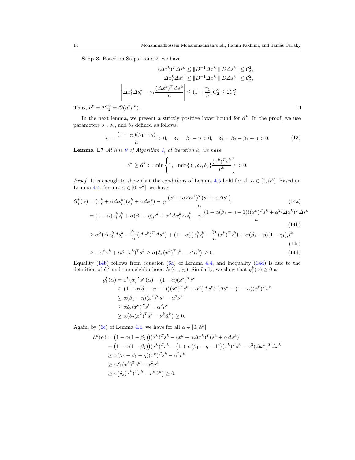$\Box$ 

Step 3. Based on Steps 1 and 2, we have

$$
(\Delta x^k)^T \Delta s^k \le ||D^{-1} \Delta x^k|| ||D\Delta s^k|| \le \mathcal{C}_2^2,
$$
  

$$
|\Delta x_i^k \Delta s_i^k| \le ||D^{-1} \Delta x^k|| ||D\Delta s^k|| \le \mathcal{C}_2^2,
$$
  

$$
\left|\Delta x_i^k \Delta s_i^k - \gamma_1 \frac{(\Delta x^k)^T \Delta s^k}{n}\right| \le (1 + \frac{\gamma_1}{n})\mathcal{C}_2^2 \le 2\mathcal{C}_2^2.
$$

Thus,  $\nu^k = 2C_2^2 = \mathcal{O}(n^2 \mu^k)$ .

In the next lemma, we present a strictly positive lower bound for  $\hat{\alpha}^k$ . In the proof, we use parameters  $\delta_1$ ,  $\delta_2$ , and  $\delta_3$  defined as follows:

$$
\delta_1 = \frac{(1 - \gamma_1)(\beta_1 - \eta)}{n} > 0, \quad \delta_2 = \beta_1 - \eta > 0, \quad \delta_3 = \beta_2 - \beta_1 + \eta > 0. \tag{13}
$$

**Lemma 4.7** At line  $9$  of Algorithm 1, at iteration  $k$ , we have

$$
\hat{\alpha}^k \ge \tilde{\alpha}^k \coloneqq \min\left\{1, \ \ \min\{\delta_1, \delta_2, \delta_3\} \frac{(x^k)^T s^k}{\nu^k}\right\} > 0.
$$

*Proof.* It is enough to show that the conditions of Lemma 4.5 hold for all  $\alpha \in [0, \tilde{\alpha}^k]$ . Based on Lemma 4.4, for any  $\alpha \in [0, \tilde{\alpha}^k]$ , we have

$$
G_i^k(\alpha) = (x_i^k + \alpha \Delta x_i^k)(s_i^k + \alpha \Delta s_i^k) - \gamma_1 \frac{(x^k + \alpha \Delta x^k)^T (s^k + \alpha \Delta s^k)}{n}
$$
(14a)  
=  $(1 - \alpha)x_i^k s_i^k + \alpha(\beta_1 - \eta)\mu^k + \alpha^2 \Delta x_i^k \Delta s_i^k - \gamma_1 \frac{(1 + \alpha(\beta_1 - \eta - 1))(x^k)^T s^k + \alpha^2 (\Delta x^k)^T \Delta s^k}{n}$ (14b)  
>  $2^2 (\Delta x^k \Delta s^k - \gamma_1 (\Delta x^k)^T \Delta s^k) + (1 - \alpha)(x^k s^k - \gamma_1 (\Delta x^k)^T s^k) + \alpha(\beta - \alpha)(1 - \alpha)w^k$ (14b)

$$
\geq \alpha^2 \left(\Delta x_i^k \Delta s_i^k - \frac{\gamma_1}{n} (\Delta x^k)^T \Delta s^k\right) + (1 - \alpha) \left(x_i^k s_i^k - \frac{\gamma_1}{n} (x^k)^T s^k\right) + \alpha (\beta_1 - \eta) (1 - \gamma_1) \mu^k
$$
\n(14c)

$$
\geq -\alpha^2 \nu^k + \alpha \delta_1(x^k)^T s^k \geq \alpha (\delta_1(x^k)^T s^k - \nu^k \tilde{\alpha}^k) \geq 0.
$$
\n(14d)

Equality  $(14b)$  follows from equation  $(6a)$  of Lemma 4.4, and inequality  $(14d)$  is due to the definition of  $\tilde{\alpha}^k$  and the neighborhood  $\mathcal{N}(\gamma_1, \gamma_2)$ . Similarly, we show that  $g_i^k(\alpha) \geq 0$  as

$$
g_i^k(\alpha) = x^k(\alpha)^T s^k(\alpha) - (1 - \alpha)(x^k)^T s^k
$$
  
\n
$$
\geq (1 + \alpha(\beta_1 - \eta - 1))(x^k)^T s^k + \alpha^2 (\Delta x^k)^T \Delta s^k - (1 - \alpha)(x^k)^T s^k
$$
  
\n
$$
\geq \alpha(\beta_1 - \eta)(x^k)^T s^k - \alpha^2 \nu^k
$$
  
\n
$$
\geq \alpha \delta_2 (x^k)^T s^k - \alpha^2 \nu^k
$$
  
\n
$$
\geq \alpha (\delta_2 (x^k)^T s^k - \nu^k \tilde{\alpha}^k) \geq 0.
$$

Again, by (6c) of Lemma 4.4, we have for all  $\alpha \in [0, \tilde{\alpha}^k]$ 

$$
h^{k}(\alpha) = (1 - \alpha(1 - \beta_{2}))(x^{k})^{T} s^{k} - (x^{k} + \alpha \Delta x^{k})^{T} (s^{k} + \alpha \Delta s^{k})
$$
  
\n
$$
= (1 - \alpha(1 - \beta_{2}))(x^{k})^{T} s^{k} - (1 + \alpha(\beta_{1} - \eta - 1))(x^{k})^{T} s^{k} - \alpha^{2} (\Delta x^{k})^{T} \Delta s^{k}
$$
  
\n
$$
\geq \alpha(\beta_{2} - \beta_{1} + \eta)(x^{k})^{T} s^{k} - \alpha^{2} \nu^{k}
$$
  
\n
$$
\geq \alpha \delta_{3}(x^{k})^{T} s^{k} - \alpha^{2} \nu^{k}
$$
  
\n
$$
\geq \alpha(\delta_{3}(x^{k})^{T} s^{k} - \nu^{k} \tilde{\alpha}^{k}) \geq 0.
$$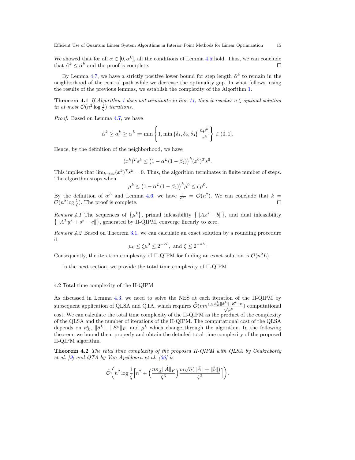We showed that for all  $\alpha \in [0, \tilde{\alpha}^k]$ , all the conditions of Lemma 4.5 hold. Thus, we can conclude that  $\tilde{\alpha}^k \leq \hat{\alpha}^k$  and the proof is complete.  $\Box$ 

By Lemma 4.7, we have a strictly positive lower bound for step length  $\tilde{\alpha}^k$  to remain in the neighborhood of the central path while we decrease the optimality gap. In what follows, using the results of the previous lemmas, we establish the complexity of the Algorithm 1.

**Theorem 4.1** If Algorithm 1 does not terminate in line 11, then it reaches a  $\zeta$ -optimal solution in at most  $\mathcal{O}(n^2 \log \frac{1}{\zeta})$  iterations.

Proof. Based on Lemma 4.7, we have

$$
\hat{\alpha}^k \geq \alpha^k \geq \alpha^L \coloneqq \min\left\{1, \min\left\{\delta_1, \delta_2, \delta_3\right\} \frac{n\mu^k}{\nu^k}\right\} \in (0,1].
$$

Hence, by the definition of the neighborhood, we have

$$
(x^{k})^{T}s^{k} \le (1 - \alpha^{L}(1 - \beta_{2}))^{k}(x^{0})^{T}s^{0}.
$$

This implies that  $\lim_{k\to\infty} (x^k)^T s^k = 0$ . Thus, the algorithm terminates in finite number of steps. The algorithm stops when

$$
\mu^k \le \left(1 - \alpha^L (1 - \beta_2)\right)^k \mu^0 \le \zeta \mu^0.
$$

By the definition of  $\alpha^L$  and Lemma 4.6, we have  $\frac{1}{\alpha^L} = \mathcal{O}(n^2)$ . We can conclude that  $k =$  $\mathcal{O}(n^2 \log \frac{1}{\zeta})$ . The proof is complete.

Remark 4.1 The sequences of  $\{\mu^k\}$ , primal infeasibility  $\{\|Ax^k - b\|\}$ , and dual infeasibility  ${||A^T y^k + s^k - c||}$ , generated by II-QIPM, converge linearly to zero.

Remark 4.2 Based on Theorem 3.1, we can calculate an exact solution by a rounding procedure if

$$
\mu_k \le \zeta \mu^0 \le 2^{-2L}, \text{ and } \zeta \le 2^{-4L}
$$

.

Consequently, the iteration complexity of II-QIPM for finding an exact solution is  $\mathcal{O}(n^2L)$ .

In the next section, we provide the total time complexity of II-QIPM.

### 4.2 Total time complexity of the II-QIPM

As discussed in Lemma 4.3, we need to solve the NES at each iteration of the II-QIPM by subsequent application of QLSA and QTA, which requires  $\tilde{\mathcal{O}}(mn^{1.5} \frac{\kappa_E^k ||\hat{\sigma}^k|| ||E^k||_F}{\sqrt{\mu^k}})$  computational cost. We can calculate the total time complexity of the II-QIPM as the product of the complexity of the QLSA and the number of iterations of the II-QIPM. The computational cost of the QLSA depends on  $\kappa_E^k$ ,  $\|\hat{\sigma}^k\|$ ,  $\|E^k\|_F$ , and  $\mu^k$  which change through the algorithm. In the following theorem, we bound them properly and obtain the detailed total time complexity of the proposed II-QIPM algorithm.

Theorem 4.2 The total time complexity of the proposed II-QIPM with QLSA by Chakraborty et al.  $[9]$  and QTA by Van Apeldoorn et al.  $[36]$  is

$$
\tilde{\mathcal{O}}\bigg(n^2\log \frac{1}{\zeta}\Big[n^2+\Big(\frac{n\kappa_{\hat{A}}\|\hat{A}\|_F}{\zeta^3}\Big)\frac{m\sqrt{n}(\|\hat{A}\|+\|\hat{b}\|)}{\zeta^2}\Big]\bigg).
$$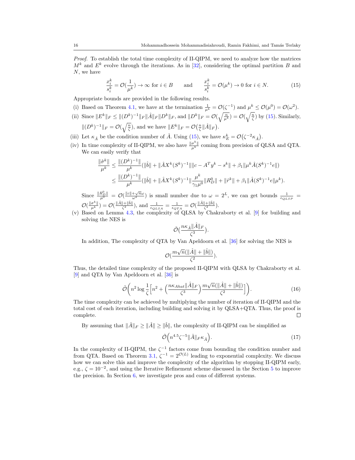Proof. To establish the total time complexity of II-QIPM, we need to analyze how the matrices  $M^k$  and  $E^k$  evolve through the iterations. As in [32], considering the optimal partition B and N, we have

$$
\frac{x_i^k}{s_i^k} = \mathcal{O}(\frac{1}{\mu^k}) \to \infty \text{ for } i \in B \quad \text{and} \quad \frac{x_i^k}{s_i^k} = \mathcal{O}(\mu^k) \to 0 \text{ for } i \in N. \tag{15}
$$

Appropriate bounds are provided in the following results.

- (i) Based on Theorem 4.1, we have at the termination  $\frac{1}{\mu^k} = \mathcal{O}(\zeta^{-1})$  and  $\mu^k \leq \mathcal{O}(\mu^0) = \mathcal{O}(\omega^2)$ .
- (ii) Since  $||E^k||_F \le ||(D^k)^{-1}||_F||\hat{A}||_F||D^k||_F$ , and  $||D^k||_F = \mathcal{O}(\sqrt{\frac{n}{\mu^k}}) = \mathcal{O}(\sqrt{\frac{n}{\zeta}})$  by (15). Similarly,  $||(D^k)^{-1}||_F = \mathcal{O}(\sqrt{\frac{n}{\zeta}}),$  and we have  $||E^k||_F = \mathcal{O}(\frac{n}{\zeta}||\hat{A}||_F).$
- (iii) Let  $\kappa_{\hat{A}}$  be the condition number of  $\hat{A}$ . Using (15), we have  $\kappa_E^k = \mathcal{O}(\zeta^{-2} \kappa_{\hat{A}})$ .
- (iv) In time complexity of II-QIPM, we also have  $\frac{\|\sigma^k\|}{\mu^k}$  coming from precision of QLSA and QTA. We can easily verify that

$$
\frac{\|\hat{\sigma}^k\|}{\mu^k} \le \frac{\|(D^k)^{-1}\|}{\mu^k} (\|\hat{b}\| + \|\hat{A}X^k(S^k)^{-1}\| \|c - A^T y^k - s^k\| + \beta_1 \|\mu^k \hat{A}(S^k)^{-1} e\|)
$$
  

$$
\le \frac{\|(D^k)^{-1}\|}{\mu^k} (\|\hat{b}\| + \|\hat{A}X^k(S^k)^{-1}\| \frac{\mu^k}{\gamma_1 \mu^0} \|R_D^0\| + \|\hat{r}^k\| + \beta_1 \|\hat{A}(S^k)^{-1} e\| \mu^k).
$$

Since  $\frac{\|R_{D}^{0}\|}{\mu^{0}} = \mathcal{O}(\frac{\|c\|+\sqrt{n}\omega}{\omega^{2}})$  is small number due to  $\omega = 2^{L}$ , we can get bounds  $\frac{1}{\epsilon_{QLSP}} =$  $\mathcal{O}(\frac{\|\sigma^k\|}{\mu^k}) = \mathcal{O}(\frac{\|\hat{A}\|+\|\hat{b}\|}{\zeta^2}), \text{ and } \frac{1}{\epsilon_{QLSA}} = \frac{1}{\epsilon_{QTA}} = \mathcal{O}(\frac{\|\hat{A}\|+\|\hat{b}\|}{\zeta^2}).$ 

(v) Based on Lemma 4.3, the complexity of QLSA by Chakraborty et al. [9] for building and solving the NES is

$$
\tilde{\mathcal{O}}\big( \frac{n\kappa_{\hat{A}}\|\hat{A}\|_F}{\zeta^3} \big).
$$

In addition, The complexity of QTA by Van Apeldoorn et al. [36] for solving the NES is

$$
\mathcal{O}(\frac{m\sqrt{n}(\|\hat{A}\|+\|\hat{b}\|)}{\zeta^2}).
$$

Thus, the detailed time complexity of the proposed II-QIPM with QLSA by Chakraborty et al. [9] and QTA by Van Apeldoorn et al. [36] is

$$
\tilde{\mathcal{O}}\bigg(n^2\log\frac{1}{\zeta}\Big[n^2+\Big(\frac{n\kappa_{Anat}\|\hat{A}\|_F}{\zeta^3}\Big)\frac{m\sqrt{n}(\|\hat{A}\|+\|\hat{b}\|)}{\zeta^2}\Big]\bigg).
$$
 (16)

The time complexity can be achieved by multiplying the number of iteration of II-QIPM and the total cost of each iteration, including building and solving it by QLSA+QTA. Thus, the proof is complete.  $\Box$ 

By assuming that  $\|\hat{A}\|_F \ge \|\hat{A}\| \ge \|\hat{b}\|$ , the complexity of II-QIPM can be simplified as

$$
\tilde{\mathcal{O}}\Big(n^{4.5}\zeta^{-5}\|\hat{A}\|_F\kappa_{\hat{A}}\Big). \tag{17}
$$

In the complexity of II-QIPM, the  $\zeta^{-1}$  factors come from bounding the condition number and from QTA. Based on Theorem 3.1,  $\zeta^{-1} = 2^{\mathcal{O}(L)}$  leading to exponential complexity. We discuss how we can solve this and improve the complexity of the algorithm by stopping II-QIPM early, e.g.,  $\zeta = 10^{-2}$ , and using the Iterative Refinement scheme discussed in the Section 5 to improve the precision. In Section 6, we investigate pros and cons of different systems.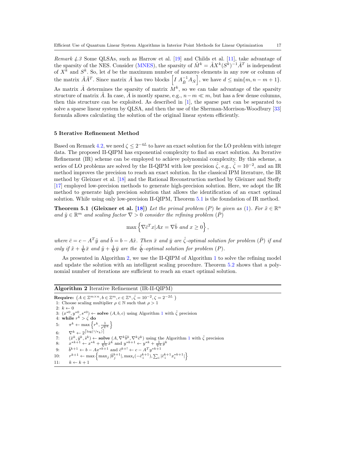Remark 4.3 Some QLSAs, such as Harrow et al. [19] and Childs et al. [11], take advantage of the sparsity of the NES. Consider (MNES), the sparsity of  $\hat{M}^k = \hat{A}X^k(S^k)^{-1}\hat{A}^T$  is independent of  $X^k$  and  $S^k$ . So, let d be the maximum number of nonzero elements in any row or column of the matrix  $\hat{A}\hat{A}^T$ . Since matrix  $\hat{A}$  has two blocks  $\left[I A_{\hat{B}}^{-1} A_{\hat{N}}\right]$ , we have  $d \leq \min\{m, n-m+1\}$ . As matrix  $\hat{A}$  determines the sparsity of matrix  $M^k$ , so we can take advantage of the sparsity structure of matrix  $\hat{A}$ . In case,  $\hat{A}$  is mostly sparse, e.g.,  $n-m \ll m$ , but has a few dense columns, then this structure can be exploited. As described in [1], the sparse part can be separated to solve a sparse linear system by QLSA, and then the use of the Sherman-Morrison-Woodbury [33] formula allows calculating the solution of the original linear system efficiently.

# 5 Iterative Refinement Method

Based on Remark 4.2, we need  $\zeta \leq 2^{-4L}$  to have an exact solution for the LO problem with integer data. The proposed II-QIPM has exponential complexity to find an exact solution. An Iterative Refinement (IR) scheme can be employed to achieve polynomial complexity. By this scheme, a series of LO problems are solved by the II-QIPM with low precision  $\hat{\zeta}$ , e.g.,  $\hat{\zeta} = 10^{-2}$ , and an IR method improves the precision to reach an exact solution. In the classical IPM literature, the IR method by Gleixner et al. [18] and the Rational Reconstruction method by Gleixner and Steffy [17] employed low-precision methods to generate high-precision solution. Here, we adopt the IR method to generate high precision solution that allows the identification of an exact optimal solution. While using only low-precision II-QIPM, Theorem 5.1 is the foundation of IR method.

**Theorem 5.1 (Gleixner et al.** [18]) Let the primal problem (P) be given as (1). For  $\tilde{x} \in \mathbb{R}^n$ and  $\tilde{y} \in \mathbb{R}^m$  and scaling factor  $\nabla > 0$  consider the refining problem  $(\bar{P})$ 

$$
\max\left\{\nabla \bar{c}^T x | Ax = \nabla \bar{b} \text{ and } x \ge 0\right\},\
$$

where  $\bar{c} = c - A^T \tilde{y}$  and  $\bar{b} = b - A\tilde{x}$ . Then  $\bar{x}$  and  $\bar{y}$  are  $\hat{\zeta}$ -optimal solution for problem  $(\bar{P})$  if and only if  $\tilde{x}+\frac{1}{\nabla}$  $\frac{1}{\nabla}\bar{x}$  and  $\tilde{y} + \frac{1}{\nabla}$  $\frac{1}{\nabla} \bar{y}$  are the  $\frac{\hat{\zeta}}{\nabla}$ -optimal solution for problem  $(P)$ .

As presented in Algorithm 2, we use the II-QIPM of Algorithm 1 to solve the refining model and update the solution with an intelligent scaling procedure. Theorem 5.2 shows that a polynomial number of iterations are sufficient to reach an exact optimal solution.

# Algorithm 2 Iterative Refinement (IR-II-QIPM)

Require:  $(A \in \mathbb{Z}^{m \times n}, b \in \mathbb{Z}^m, c \in \mathbb{Z}^n, \hat{\zeta} = 10^{-2}, \zeta = 2^{-2L})$ 1: Choose scaling multiplier  $\rho \in \mathbb{N}$  such that  $\rho > 1$ 2:  $k \leftarrow 0$ 3:  $(x^{*0}, y^{*0}, s^{*0}) \leftarrow$  solve  $(A, b, c)$  using Algorithm 1 with  $\hat{\zeta}$  precision 4: while  $r^k > \zeta$  do 5:  $\pi^k \leftarrow \max\left\{r^k, \frac{1}{\rho \nabla^k}\right\}$ o 6:  $\nabla^k \leftarrow 2^{\lfloor \log(1/\pi_k) \rfloor}$ 7:  $(\hat{x}^k, \hat{y}^k, \hat{s}^k) \leftarrow \textbf{solve}(A, \nabla^k \bar{b}^k, \nabla^k \bar{c}^k)$  using the Algorithm 1 with  $\hat{\zeta}$  precision 8:  $x^{*k+1} \leftarrow x^{*k} + \frac{1}{\sum_{k} k} \hat{x}^k$  and  $y^{*k+1} \leftarrow y^{*k} + \frac{1}{\sum_{k} k} \hat{y}^k$ 9:  $\bar{b}^{k+1} \leftarrow b - Ax^{*k+1}$  and  $\bar{c}^{k+1} \leftarrow c - A^T y^{*k+1}$ 10:  $r^{k+1} \leftarrow \max \left\{ \max_j |\bar{b}_j^{k+1}|, \max_i(-\bar{c}_i^{k+1}), \sum_i |\bar{c}_i^{k+1} x_i^{*k+1}| \right\}$ 11:  $k \leftarrow k + 1$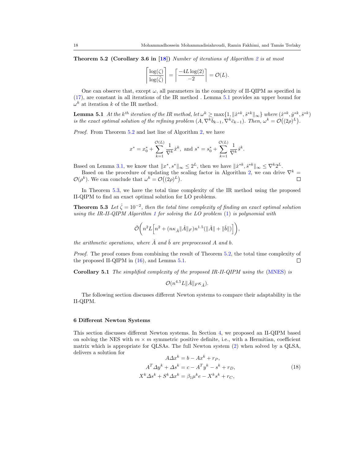**Theorem 5.2 (Corollary 3.6 in [18])** Number of iterations of Algorithm 2 is at most

$$
\left\lceil \frac{\log(\zeta)}{\log(\hat{\zeta})} \right\rceil = \left\lceil \frac{-4L \log(2)}{-2} \right\rceil = \mathcal{O}(L).
$$

One can observe that, except  $\omega$ , all parameters in the complexity of II-QIPM as specified in (17), are constant in all iterations of the IR method . Lemma 5.1 provides an upper bound for  $\omega^k$  at iteration k of the IR method.

**Lemma 5.1** At the k<sup>th</sup> iteration of the IR method, let  $\omega^k \ge \max\{1, \|\hat{x}^{*k}, \hat{s}^{*k}\|_{\infty}\}$  where  $(\hat{x}^{*k}, \hat{y}^{*k}, \hat{s}^{*k})$ is the exact optimal solution of the refining problem  $(A, \nabla^k \bar{b}_{k-1}, \nabla^k \bar{c}_{k-1})$ . Then,  $\omega^k = \mathcal{O}((2\rho)^L)$ .

Proof. From Theorem 5.2 and last line of Algorithm 2, we have

$$
x^* = x_0^* + \sum_{k=1}^{\mathcal{O}(L)} \frac{1}{\nabla^k} \hat{x}^k
$$
, and  $s^* = s_0^* + \sum_{k=1}^{\mathcal{O}(L)} \frac{1}{\nabla^k} \hat{s}^k$ .

Based on Lemma 3.1, we know that  $||x^*, s^*||_{\infty} \leq 2^L$ , then we have  $||\hat{x}^{*k}, \hat{s}^{*k}||_{\infty} \leq \nabla^k 2^L$ .

Based on the procedure of updating the scaling factor in Algorithm 2, we can drive  $\nabla^k =$  $\mathcal{O}(\rho^k)$ . We can conclude that  $\omega^k = \mathcal{O}((2\rho)^L)$ .

In Theorem 5.3, we have the total time complexity of the IR method using the proposed II-QIPM to find an exact optimal solution for LO problems.

**Theorem 5.3** Let  $\hat{\zeta} = 10^{-2}$ , then the total time complexity of finding an exact optimal solution using the IR-II-QIPM Algorithm 1 for solving the LO problem (1) is polynomial with

$$
\tilde{\mathcal{O}}\bigg(n^2L\Big[n^2 + \big(n\kappa_{\hat{A}}\|\hat{A}\|_F\big)n^{1.5}\big(\|\hat{A}\| + \|\hat{b}\|\big)\Big]\bigg),
$$

the arithmetic operations, where  $\hat{A}$  and  $\hat{b}$  are preprocessed A and b.

Proof. The proof comes from combining the result of Theorem 5.2, the total time complexity of the proposed II-QIPM in (16), and Lemma 5.1.  $\Box$ 

Corollary 5.1 The simplified complexity of the proposed IR-II-QIPM using the (MNES) is

 $\mathcal{O}(n^{4.5}L\|\hat{A}\|_F \kappa_{\hat{A}}).$ 

The following section discusses different Newton systems to compare their adaptability in the II-QIPM.

### 6 Different Newton Systems

This section discusses different Newton systems. In Section 4, we proposed an II-QIPM based on solving the NES with  $m \times m$  symmetric positive definite, i.e., with a Hermitian, coefficient matrix which is appropriate for QLSAs. The full Newton system (2) when solved by a QLSA, delivers a solution for

$$
A\Delta x^{k} = b - Ax^{k} + r_{P},
$$
  
\n
$$
A^{T}\Delta y^{k} + \Delta s^{k} = c - A^{T}y^{k} - s^{k} + r_{D},
$$
  
\n
$$
X^{k}\Delta s^{k} + S^{k}\Delta x^{k} = \beta_{1}\mu^{k}e - X^{k}s^{k} + r_{C},
$$
\n(18)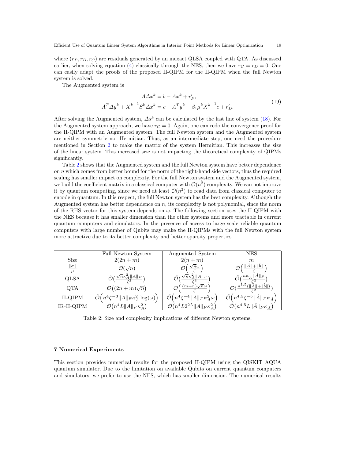where  $(r_P, r_D, r_C)$  are residuals generated by an inexact QLSA coupled with QTA. As discussed earlier, when solving equation (4) classically through the NES, then we have  $r_C = r_D = 0$ . One can easily adapt the proofs of the proposed II-QIPM for the II-QIPM when the full Newton system is solved.

The Augmented system is

$$
A\Delta x^{k} = b - Ax^{k} + r'_{P},
$$
  

$$
A^{T}\Delta y^{k} + X^{k-1}S^{k}\Delta x^{k} = c - A^{T}y^{k} - \beta_{1}\mu^{k}X^{k-1}e + r'_{D}.
$$
 (19)

After solving the Augmented system,  $\Delta s^k$  can be calculated by the last line of system (18). For the Augmented system approach, we have  $r<sub>C</sub> = 0$ . Again, one can redo the convergence proof for the II-QIPM with an Augmented system. The full Newton system and the Augmented system are neither symmetric nor Hermitian. Thus, as an intermediate step, one need the procedure mentioned in Section 2 to make the matrix of the system Hermitian. This increases the size of the linear system. This increased size is not impacting the theoretical complexity of QIPMs significantly.

Table 2 shows that the Augmented system and the full Newton system have better dependence on  $n$  which comes from better bound for the norm of the right-hand side vectors, thus the required scaling has smaller impact on complexity. For the full Newton system and the Augmented system, we build the coefficient matrix in a classical computer with  $\mathcal{O}(n^2)$  complexity. We can not improve it by quantum computing, since we need at least  $\mathcal{O}(n^2)$  to read data from classical computer to encode in quantum. In this respect, the full Newton system has the best complexity. Although the Augmented system has better dependence on  $n$ , its complexity is not polynomial, since the norm of the RHS vector for this system depends on  $\omega$ . The following section uses the II-QIPM with the NES because it has smaller dimension than the other systems and more tractable in current quantum computers and simulators. In the presence of access to large scale reliable quantum computers with large number of Qubits may make the II-QIPMs with the full Newton system more attractive due to its better complexity and better sparsity properties.

|                                                 | Full Newton System                                                             | Augmented System                                                       | NES                                                                                |
|-------------------------------------------------|--------------------------------------------------------------------------------|------------------------------------------------------------------------|------------------------------------------------------------------------------------|
| Size                                            | $2(2n+m)$                                                                      | $2(n+m)$                                                               | m                                                                                  |
| $\frac{\Vert \sigma \Vert}{\Vert \sigma \Vert}$ | $\mathcal{O}(\sqrt{n})$                                                        | $\mathcal{O}\left(\frac{\sqrt{n}\omega}{\epsilon}\right)$              | $\left(\ \hat{A}\ +\ \hat{b}\ \right)$                                             |
| QLSA                                            | $\tilde{\mathcal{O}}\left(\frac{\sqrt{n}\kappa_A^2\ A\ _F}{\epsilon^3}\right)$ | $\tilde{\mathcal{O}}(\frac{\sqrt{n}\kappa_A^2\ A\ _F}{3})$             | $\tilde{\mathcal{O}}(\frac{n\kappa_{\hat{A}}\ \hat{A}\ _F}{2})$                    |
| QTA                                             | $\mathcal{O}((2n+m)\sqrt{n})$                                                  | $\mathcal{O}\left(\frac{(m+n)\sqrt{n}\omega}{n}\right)$                | $\mathcal{O}(\frac{n^{1.5}(\ \AA\ +\ \hat{b}\ )}{2})$                              |
| II-QIPM                                         | $\tilde{\mathcal{O}}\left(n^4\zeta^{-3}  A  _F\kappa_A^2\log(\omega)\right)$   | $\tilde{\mathcal{O}}\left(n^4\zeta^{-4}\ A\ _F\kappa_A^2\omega\right)$ | $\tilde{\mathcal{O}}\!\left(n^{4.5}\zeta^{-5}\ \hat{A}\ _F\kappa_{\hat{A}}\right)$ |
| IR-II-QIPM                                      | $\tilde{\mathcal{O}}(n^4L  A  _F\kappa_A^2)$                                   | $\tilde{\mathcal{O}}(n^4L2^{2L}  A  _F\kappa_A^2)$                     | $\mathcal{\tilde{O}}(n^{4.5}L\ \hat{A}\ _F\kappa_{\hat{A}})$                       |

Table 2: Size and complexity implications of different Newton systems.

#### 7 Numerical Experiments

This section provides numerical results for the proposed II-QIPM using the QISKIT AQUA quantum simulator. Due to the limitation on available Qubits on current quantum computers and simulators, we prefer to use the NES, which has smaller dimension. The numerical results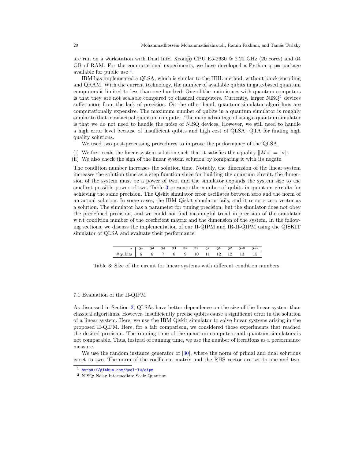are run on a workstation with Dual Intel Xeon $\circledR$  CPU E5-2630 @ 2.20 GHz (20 cores) and 64 GB of RAM. For the computational experiments, we have developed a Python qipm package available for public use  $<sup>1</sup>$ .</sup>

IBM has implemented a QLSA, which is similar to the HHL method, without block-encoding and QRAM. With the current technology, the number of available qubits in gate-based quantum computers is limited to less than one hundred. One of the main issues with quantum computers is that they are not scalable compared to classical computers. Currently, larger  $NISQ<sup>2</sup>$  devices suffer more from the lack of precision. On the other hand, quantum simulator algorithms are computationally expensive. The maximum number of qubits in a quantum simulator is roughly similar to that in an actual quantum computer. The main advantage of using a quantum simulator is that we do not need to handle the noise of NISQ devices. However, we still need to handle a high error level because of insufficient qubits and high cost of QLSA+QTA for finding high quality solutions.

We used two post-processing procedures to improve the performance of the QLSA.

- (i) We first scale the linear system solution such that it satisfies the equality  $||Mz|| = ||\sigma||$ .
- (ii) We also check the sign of the linear system solution by comparing it with its negate.

The condition number increases the solution time. Notably, the dimension of the linear system increases the solution time as a step function since for building the quantum circuit, the dimension of the system must be a power of two, and the simulator expands the system size to the smallest possible power of two. Table 3 presents the number of qubits in quantum circuits for achieving the same precision. The Qiskit simulator error oscillates between zero and the norm of an actual solution. In some cases, the IBM Qiskit simulator fails, and it reports zero vector as a solution. The simulator has a parameter for tuning precision, but the simulator does not obey the predefined precision, and we could not find meaningful trend in precision of the simulator w.r.t condition number of the coefficient matrix and the dimension of the system. In the following sections, we discuss the implementation of our II-QIPM and IR-II-QIPM using the QISKIT simulator of QLSA and evaluate their performance.

|  |  |  | <b>.</b> |  |  |  |
|--|--|--|----------|--|--|--|

Table 3: Size of the circuit for linear systems with different condition numbers.

# 7.1 Evaluation of the II-QIPM

As discussed in Section 2, QLSAs have better dependence on the size of the linear system than classical algorithms. However, insufficiently precise qubits cause a significant error in the solution of a linear system. Here, we use the IBM Qiskit simulator to solve linear systems arising in the proposed II-QIPM. Here, for a fair comparison, we considered those experiments that reached the desired precision. The running time of the quantum computers and quantum simulators is not comparable. Thus, instead of running time, we use the number of iterations as a performance measure.

We use the random instance generator of [30], where the norm of primal and dual solutions is set to two. The norm of the coefficient matrix and the RHS vector are set to one and two,

<sup>1</sup> https://github.com/qcol-lu/qipm

<sup>2</sup> NISQ: Noisy Intermediate Scale Quantum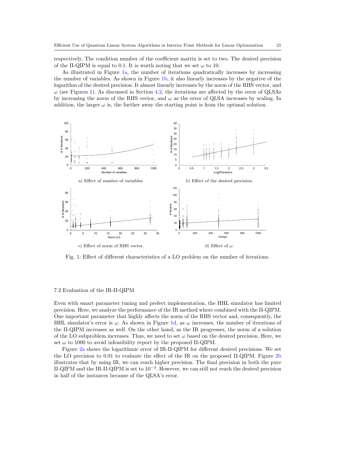respectively. The condition number of the coefficient matrix is set to two. The desired precision of the II-QIPM is equal to 0.1. It is worth noting that we set  $\omega$  to 10.

As illustrated in Figure 1a, the number of iterations quadratically increases by increasing the number of variables. As shown in Figure 1b, it also linearly increases by the negative of the logarithm of the desired precision. It almost linearly increases by the norm of the RHS vector, and  $\omega$  (see Figures 1). As discussed in Section 4.2, the iterations are affected by the error of QLSAs by increasing the norm of the RHS vector, and  $\omega$  as the error of QLSA increases by scaling. In addition, the larger  $\omega$  is, the further away the starting point is from the optimal solution.



Fig. 1: Effect of different characteristics of a LO problem on the number of iterations.

# 7.2 Evaluation of the IR-II-QIPM

Even with smart parameter tuning and prefect implementation, the HHL simulator has limited precision. Here, we analyze the performance of the IR method where combined with the II-QIPM. One important parameter that highly affects the norm of the RHS vector and, consequently, the HHL simulator's error is  $\omega$ . As shown in Figure 1d, as  $\omega$  increases, the number of iterations of the II-QIPM increases as well. On the other hand, as the IR progresses, the norm of a solution of the LO subproblem increases. Thus, we need to set  $\omega$  based on the desired precision. Here, we set  $\omega$  to 1000 to avoid infeasibility report by the proposed II-QIPM.

Figure 2a shows the logarithmic error of IR-II-QIPM for different desired precisions. We set the LO precision to 0.01 to evaluate the effect of the IR on the proposed II-QIPM. Figure 2b illustrates that by using IR, we can reach higher precision. The final precision in both the pure II-QIPM and the IR-II-QIPM is set to 10−<sup>4</sup> . However, we can still not reach the desired precision in half of the instances because of the QLSA's error.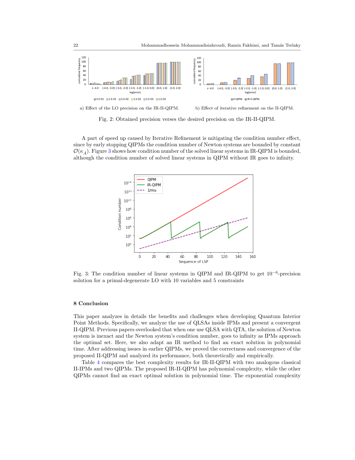

Fig. 2: Obtained precision verses the desired precision on the IR-II-QIPM.

A part of speed up caused by Iterative Refinement is mitigating the condition number effect, since by early stopping QIPMs the condition number of Newton systems are bounded by constant  $\mathcal{O}(\kappa_{\hat{\mathbf{i}}})$ . Figure 3 shows how condition number of the solved linear systems in IR-QIPM is bounded, although the condition number of solved linear systems in QIPM without IR goes to infinity.



Fig. 3: The condition number of linear systems in QIPM and IR-QIPM to get  $10^{-6}$ -precision solution for a primal-degenerate LO with 10 variables and 5 constraints

# 8 Conclusion

This paper analyzes in details the benefits and challenges when developing Quantum Interior Point Methods. Specifically, we analyze the use of QLSAs inside IPMs and present a convergent II-QIPM. Previous papers overlooked that when one use QLSA with QTA, the solution of Newton system is inexact and the Newton system's condition number, goes to infinity as IPMs approach the optimal set. Here, we also adapt an IR method to find an exact solution in polynomial time. After addressing issues in earlier QIPMs, we proved the correctness and convergence of the proposed II-QIPM and analyzed its performance, both theoretically and empirically.

Table 4 compares the best complexity results for IR-II-QIPM with two analogous classical II-IPMs and two QIPMs. The proposed IR-II-QIPM has polynomial complexity, while the other QIPMs cannot find an exact optimal solution in polynomial time. The exponential complexity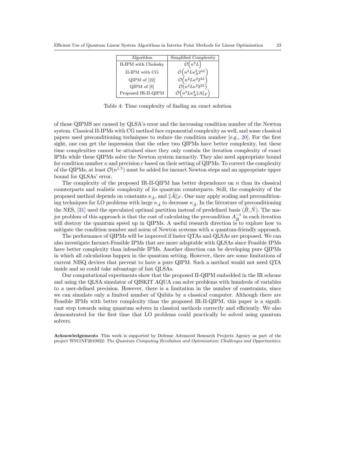| Algorithm            | Simplified Complexity                                     |
|----------------------|-----------------------------------------------------------|
| II-IPM with Cholesky | $\mathcal{O}(n^5L)$                                       |
| II-IPM with CG       | $\mathcal{O}\left(n^4L\kappa_A^22^{4L}\right)$            |
| $QIPM$ of $[22]$     | $\mathcal{O}(n^2L\kappa^32^{4L})$                         |
| $QIPM$ of $[8]$      | $\mathcal{O}\left\langle n^2L\kappa^22^{2L}\right\rangle$ |
| Proposed IR-II-QIPM  | $\tilde{\mathcal{O}}\left(n^4L\kappa_A^2\ A\ _F\right)$   |

Table 4: Time complexity of finding an exact solution

of those QIPMS are caused by QLSA's error and the increasing condition number of the Newton system. Classical II-IPMs with CG method face exponential complexity as well, and some classical papers used preconditioning techniques to reduce the condition number [e.g., 20]. For the first sight, one can get the impression that the other two QIPMs have better complexity, but these time complexities cannot be attained since they only contain the iteration complexity of exact IPMs while these QIPMs solve the Newton system inexactly. They also need appropriate bound for condition number  $\kappa$  and precision  $\epsilon$  based on their setting of QIPMs. To correct the complexity of the QIPMs, at least  $\mathcal{O}(n^{1.5})$  must be added for inexact Newton steps and an appropriate upper bound for QLSAs' error.

The complexity of the proposed IR-II-QIPM has better dependence on  $n$  than its classical counterparts and realistic complexity of its quantum counterparts. Still, the complexity of the proposed method depends on constants  $\kappa_{\hat{A}}$ , and  $||A||_F$ . One may apply scaling and preconditioning techniques for LO problems with large  $\kappa_{\hat{A}}$  to decrease  $\kappa_{\hat{A}}$ . In the literature of preconditioning the NES, [31] used the speculated optimal partition instead of predefined basis  $(\hat{B}, \hat{N})$ . The major problem of this approach is that the cost of calculating the precondition  $A^{-1}_{\hat{B}}$  in each iteration will destroy the quantum speed up in QIPMs. A useful research direction is to explore how to mitigate the condition number and norm of Newton systems with a quantum-friendly approach.

The performance of QIPMs will be improved if faster QTAs and QLSAs are proposed. We can also investigate Inexact-Feasible IPMs that are more adaptable with QLSAs since Feasible IPMs have better complexity than infeasible IPMs. Another direction can be developing pure QIPMs in which all calculations happen in the quantum setting. However, there are some limitations of current NISQ devices that prevent to have a pure QIPM. Such a method would not need QTA inside and so could take advantage of fast QLSAs.

Our computational experiments show that the proposed II-QIPM embedded in the IR scheme and using the QLSA simulator of QISKIT AQUA can solve problems with hundreds of variables to a user-defined precision. However, there is a limitation in the number of constraints, since we can simulate only a limited number of Qubits by a classical computer. Although there are Feasible IPMs with better complexity than the proposed IR-II-QIPM, this paper is a significant step towards using quantum solvers in classical methods correctly and efficiently. We also demonstrated for the first time that LO problems could practically be solved using quantum solvers.

Acknowledgements This work is supported by Defense Advanced Research Projects Agency as part of the project W911NF2010022: The Quantum Computing Revolution and Optimization: Challenges and Opportunities.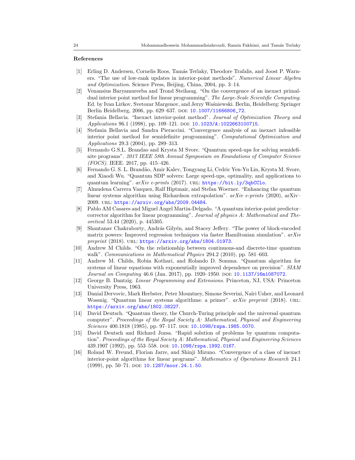# References

- [1] Erling D. Andersen, Cornelis Roos, Tam´as Terlaky, Theodore Trafalis, and Joost P. Warners. "The use of low-rank updates in interior-point methods". Numerical Linear Algebra and Optimization. Science Press, Beijing, China, 2004, pp. 3–14.
- [2] Venansius Baryamureeba and Trond Steihaug. "On the convergence of an inexact primaldual interior point method for linear programming". The Large-Scale Scientific Computing. Ed. by Ivan Lirkov, Svetozar Margenov, and Jerzy Wa´sniewski. Berlin, Heidelberg: Springer Berlin Heidelberg, 2006, pp. 629–637. DOI: 10.1007/11666806\_72.
- [3] Stefania Bellavia. "Inexact interior-point method". Journal of Optimization Theory and Applications 96.1 (1998), pp. 109-121. DOI: 10.1023/A:1022663100715.
- [4] Stefania Bellavia and Sandra Pieraccini. "Convergence analysis of an inexact infeasible interior point method for semidefinite programming". Computational Optimization and Applications 29.3 (2004), pp. 289–313.
- [5] Fernando G.S.L. Brandao and Krysta M Svore. "Quantum speed-ups for solving semidefinite programs". 2017 IEEE 58th Annual Symposium on Foundations of Computer Science (FOCS). IEEE. 2017, pp. 415–426.
- [6] Fernando G. S. L. Brand˜ao, Amir Kalev, Tongyang Li, Cedric Yen-Yu Lin, Krysta M. Svore, and Xiaodi Wu. "Quantum SDP solvers: Large speed-ups, optimality, and applications to quantum learning".  $arXiv$  e-prints (2017). URL: https://bit.ly/3qbCClo.
- [7] Almudena Carrera Vazquez, Ralf Hiptmair, and Stefan Woerner. "Enhancing the quantum linear systems algorithm using Richardson extrapolation".  $arXiv$  e-prints (2020), arXiv– 2009. url: https://arxiv.org/abs/2009.04484.
- [8] Pablo AM Casares and Miguel Angel Martin-Delgado. "A quantum interior-point predictor– corrector algorithm for linear programming". Journal of physics A: Mathematical and Theoretical 53.44 (2020), p. 445305.
- [9] Shantanav Chakraborty, András Gilyén, and Stacey Jeffery. "The power of block-encoded matrix powers: Improved regression techniques via faster Hamiltonian simulation".  $arXiv$ preprint (2018). URL: https://arxiv.org/abs/1804.01973.
- [10] Andrew M Childs. "On the relationship between continuous-and discrete-time quantum walk". Communications in Mathematical Physics 294.2 (2010), pp. 581–603.
- [11] Andrew M. Childs, Robin Kothari, and Rolando D. Somma. "Quantum algorithm for systems of linear equations with exponentially improved dependence on precision". SIAM Journal on Computing 46.6 (Jan. 2017), pp. 1920–1950. DOI: 10.1137/16m1087072.
- [12] George B. Dantzig. Linear Programming and Extensions. Princeton, NJ, USA: Princeton University Press, 1963.
- [13] Danial Dervovic, Mark Herbster, Peter Mountney, Simone Severini, Naïri Usher, and Leonard Wossnig. "Quantum linear systems algorithms: a primer".  $arXiv$  preprint (2018). URL: https://arxiv.org/abs/1802.08227.
- [14] David Deutsch. "Quantum theory, the Church-Turing principle and the universal quantum computer". Proceedings of the Royal Society A: Mathematical, Physical and Engineering Sciences 400.1818 (1985), pp. 97-117. DOI: 10.1098/rspa.1985.0070.
- [15] David Deutsch and Richard Jozsa. "Rapid solution of problems by quantum computation". Proceedings of the Royal Society A: Mathematical, Physical and Engineering Sciences 439.1907 (1992), pp. 553–558. doi: 10.1098/rspa.1992.0167.
- [16] Roland W. Freund, Florian Jarre, and Shinji Mizuno. "Convergence of a class of inexact interior-point algorithms for linear programs". Mathematics of Operations Research 24.1 (1999), pp. 50-71. DOI: 10.1287/moor.24.1.50.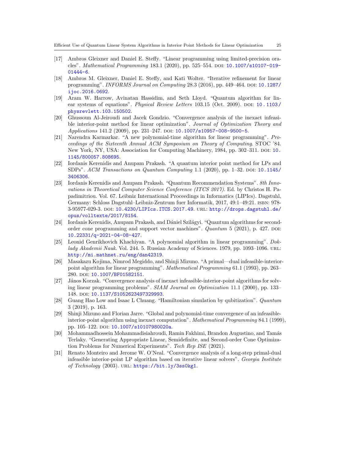- [17] Ambros Gleixner and Daniel E. Steffy. "Linear programming using limited-precision oracles". Mathematical Programming 183.1 (2020), pp. 525–554. doi: 10.1007/s10107-019-  $01444 - 6$ .
- [18] Ambros M. Gleixner, Daniel E. Steffy, and Kati Wolter. "Iterative refinement for linear programming". INFORMS Journal on Computing 28.3 (2016), pp. 449–464. doi: 10.1287/ ijoc.2016.0692.
- [19] Aram W. Harrow, Avinatan Hassidim, and Seth Lloyd. "Quantum algorithm for linear systems of equations". Physical Review Letters  $103.15$  (Oct. 2009). DOI: 10 . 1103/ physrevlett.103.150502.
- [20] Ghussoun Al-Jeiroudi and Jacek Gondzio. "Convergence analysis of the inexact infeasible interior-point method for linear optimization". Journal of Optimization Theory and Applications 141.2 (2009), pp. 231-247. DOI: 10.1007/s10957-008-9500-5.
- [21] Narendra Karmarkar. "A new polynomial-time algorithm for linear programming". Proceedings of the Sixteenth Annual ACM Symposium on Theory of Computing. STOC '84. New York, NY, USA: Association for Computing Machinery, 1984, pp. 302–311. DOI: 10. 1145/800057.808695.
- [22] Iordanis Kerenidis and Anupam Prakash. "A quantum interior point method for LPs and SDPs".  $ACM$  Transactions on Quantum Computing 1.1 (2020), pp. 1–32. DOI: 10.1145/ 3406306.
- [23] Iordanis Kerenidis and Anupam Prakash. "Quantum Recommendation Systems". 8th Innovations in Theoretical Computer Science Conference (ITCS 2017). Ed. by Christos H. Papadimitriou. Vol. 67. Leibniz International Proceedings in Informatics (LIPIcs). Dagstuhl, Germany: Schloss Dagstuhl–Leibniz-Zentrum fuer Informatik, 2017, 49:1–49:21. isbn: 978- 3-95977-029-3. doi: 10.4230/LIPIcs.ITCS.2017.49. url: http://drops.dagstuhl.de/ opus/volltexte/2017/8154.
- [24] Iordanis Kerenidis, Anupam Prakash, and Dániel Szilágyi. "Quantum algorithms for secondorder cone programming and support vector machines".  $Quantum 5 (2021)$ , p. 427. DOI: 10.22331/q-2021-04-08-427.
- [25] Leonid Genrikhovich Khachiyan. "A polynomial algorithm in linear programming". Doklady Akademii Nauk. Vol. 244. 5. Russian Academy of Sciences. 1979, pp. 1093–1096. URL: http://mi.mathnet.ru/eng/dan42319.
- [26] Masakazu Kojima, Nimrod Megiddo, and Shinji Mizuno. "A primal—dual infeasible-interiorpoint algorithm for linear programming". Mathematical Programming 61.1 (1993), pp. 263– 280. doi: 10.1007/BF01582151.
- [27] János Korzak. "Convergence analysis of inexact infeasible-interior-point algorithms for solving linear programming problems". SIAM Journal on Optimization 11.1 (2000), pp. 133– 148. DOI: 10.1137/S1052623497329993.
- [28] Guang Hao Low and Isaac L Chuang. "Hamiltonian simulation by qubitization". Quantum 3 (2019), p. 163.
- [29] Shinji Mizuno and Florian Jarre. "Global and polynomial-time convergence of an infeasibleinterior-point algorithm using inexact computation". Mathematical Programming 84.1 (1999), pp. 105–122. DOI: 10.1007/s10107980020a.
- [30] Mohammadhossein Mohammadisiahroudi, Ramin Fakhimi, Brandon Augustino, and Tam´as Terlaky. "Generating Appropriate Linear, Semidefinite, and Second-order Cone Optimization Problems for Numerical Experiments". Tech Rep ISE (2021).
- [31] Renato Monteiro and Jerome W. O'Neal. "Convergence analysis of a long-step primal-dual infeasible interior-point LP algorithm based on iterative linear solvers". Georgia Institute of Technology (2003). URL: https://bit.ly/3ss0kg1.